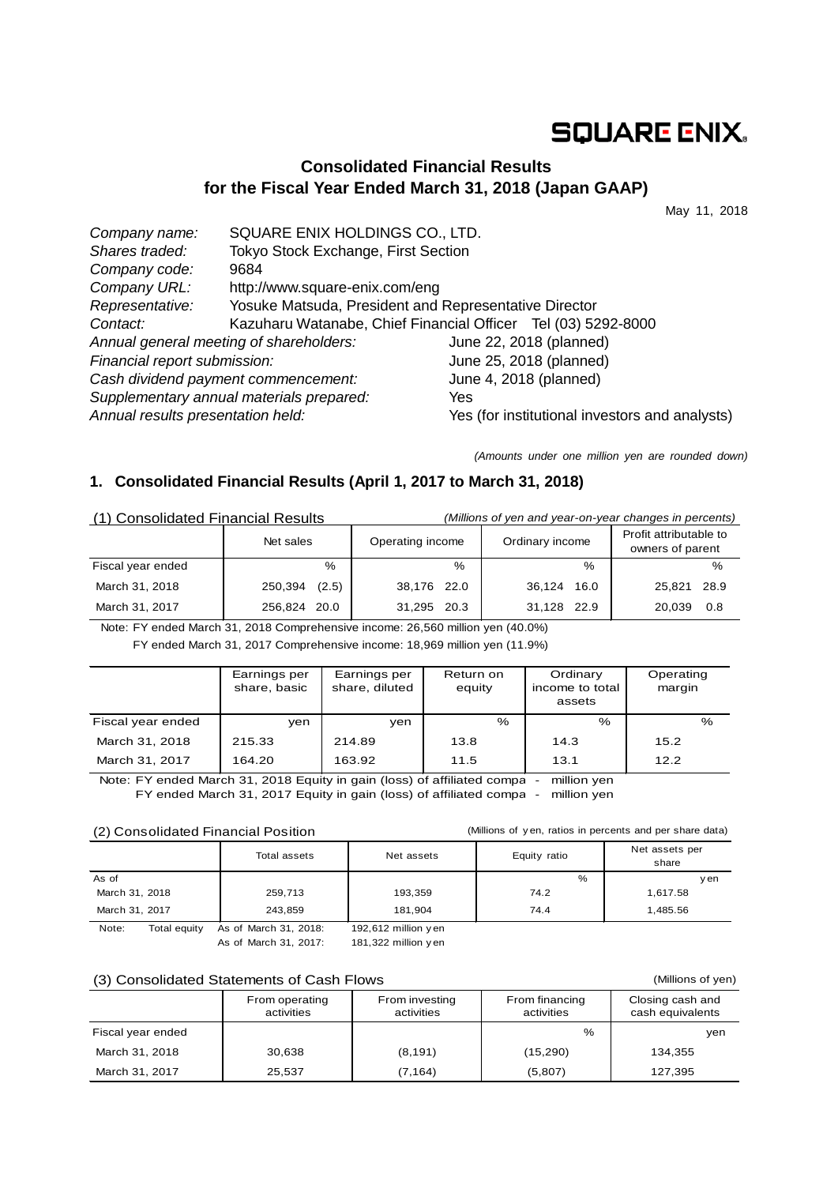# **SQUARE ENIX.**

## **Consolidated Financial Results for the Fiscal Year Ended March 31, 2018 (Japan GAAP)**

May 11, 2018

| Company name:                           | SQUARE ENIX HOLDINGS CO., LTD.                                |                                                |
|-----------------------------------------|---------------------------------------------------------------|------------------------------------------------|
| Shares traded:                          | Tokyo Stock Exchange, First Section                           |                                                |
| Company code:                           | 9684                                                          |                                                |
| Company URL:                            | http://www.square-enix.com/eng                                |                                                |
| Representative:                         | Yosuke Matsuda, President and Representative Director         |                                                |
| Contact:                                | Kazuharu Watanabe, Chief Financial Officer Tel (03) 5292-8000 |                                                |
| Annual general meeting of shareholders: |                                                               | June 22, 2018 (planned)                        |
| Financial report submission:            |                                                               | June 25, 2018 (planned)                        |
| Cash dividend payment commencement:     |                                                               | June 4, 2018 (planned)                         |
|                                         | Supplementary annual materials prepared:                      | Yes                                            |
| Annual results presentation held:       |                                                               | Yes (for institutional investors and analysts) |

*(Amounts under one million yen are rounded down)*

## **1. Consolidated Financial Results (April 1, 2017 to March 31, 2018)**

| (1) Consolidated Financial Results |                  | (Millions of yen and year-on-year changes in percents) |                 |                                            |  |  |
|------------------------------------|------------------|--------------------------------------------------------|-----------------|--------------------------------------------|--|--|
|                                    | Net sales        | Operating income                                       | Ordinary income | Profit attributable to<br>owners of parent |  |  |
| Fiscal year ended                  | $\%$             | $\%$                                                   | $\frac{0}{0}$   | $\%$                                       |  |  |
| March 31, 2018                     | (2.5)<br>250,394 | 38,176 22.0                                            | 36,124 16.0     | 25.821<br>28.9                             |  |  |
| March 31, 2017                     | 256.824 20.0     | 31,295 20.3                                            | 31,128 22.9     | 0.8<br>20.039                              |  |  |

Note: FY ended March 31, 2018 Comprehensive income: 26,560 million yen (40.0%)

FY ended March 31, 2017 Comprehensive income: 18,969 million yen (11.9%)

|                   | Earnings per<br>share, basic | Earnings per<br>share, diluted | Return on<br>equity | Ordinary<br>income to total<br>assets | Operating<br>margin |
|-------------------|------------------------------|--------------------------------|---------------------|---------------------------------------|---------------------|
| Fiscal year ended | ven                          | ven                            | %                   | $\%$                                  | %                   |
| March 31, 2018    | 215.33                       | 214.89                         | 13.8                | 14.3                                  | 15.2                |
| March 31, 2017    | 164.20                       | 163.92                         | 11.5                | 13.1                                  | 12.2                |

Note: FY ended March 31, 2018 Equity in gain (loss) of affiliated compa - million yen FY ended March 31, 2017 Equity in gain (loss) of affiliated compa - million yen

#### (2) Consolidated Financial Position

(Millions of y en, ratios in percents and per share data)

(Millions of yen)

|                                     | Total assets                     | Net assets                | Equity ratio | Net assets per<br>share |
|-------------------------------------|----------------------------------|---------------------------|--------------|-------------------------|
| As of                               |                                  |                           | $\%$         | ven                     |
| March 31, 2018                      | 259,713                          | 193,359                   | 74.2         | 1,617.58                |
| March 31, 2017                      | 243.859                          | 181,904                   | 74.4         | 1,485.56                |
| $N \cap + \cap$<br>$Total$ $conity$ | $A \circ \circ f$ Morob 21 2010. | $102.612$ million $102.5$ |              |                         |

Note: Total equity As of March 31, 2018: 192,612 million y en As of March 31, 2017: 181,322 million y en

#### (3) Consolidated Statements of Cash Flows

|                   | From operating<br>activities | From investing<br>activities | From financing<br>activities | Closing cash and<br>cash equivalents |
|-------------------|------------------------------|------------------------------|------------------------------|--------------------------------------|
| Fiscal year ended |                              |                              | $\%$                         | yen                                  |
| March 31, 2018    | 30.638                       | (8, 191)                     | (15, 290)                    | 134.355                              |
| March 31, 2017    | 25,537                       | (7,164)                      | (5,807)                      | 127,395                              |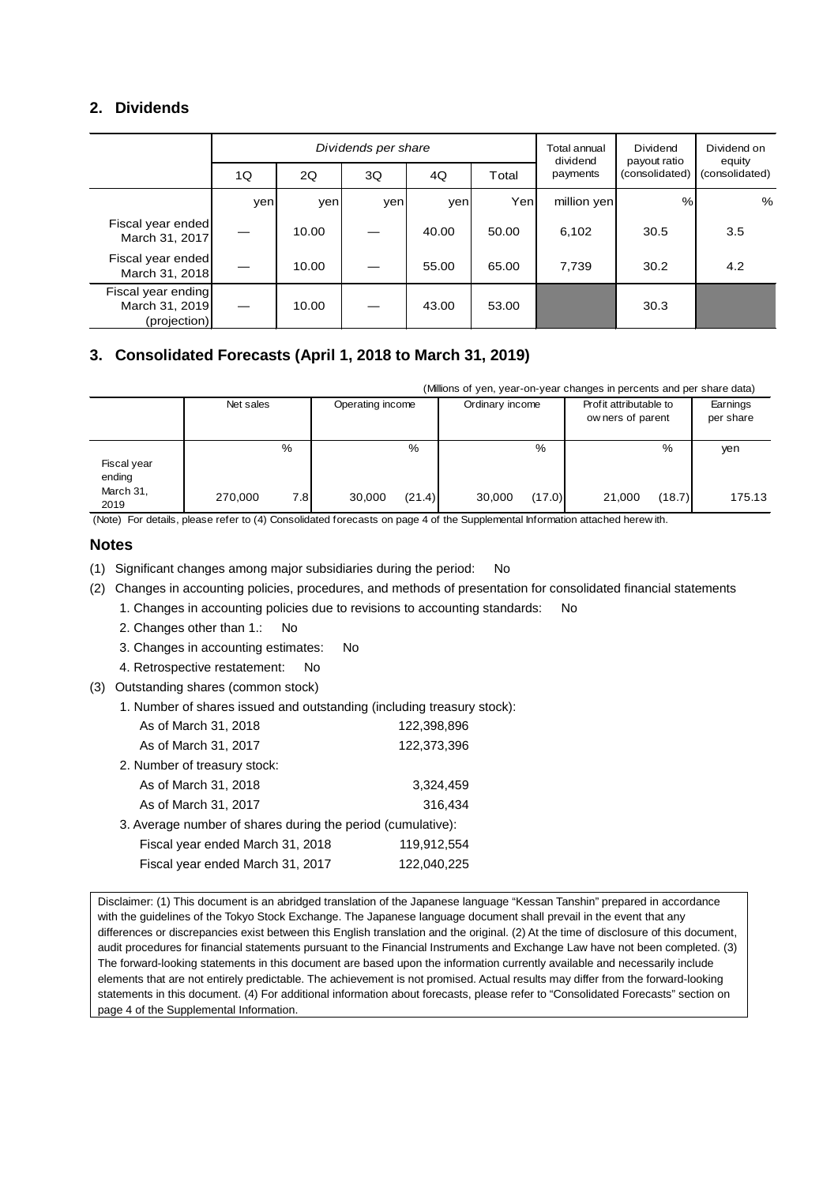## **2. Dividends**

|                                                      | Dividends per share |       |     |       |       | Total annual<br>dividend | Dividend<br>payout ratio | Dividend on<br>equity |
|------------------------------------------------------|---------------------|-------|-----|-------|-------|--------------------------|--------------------------|-----------------------|
|                                                      | 1Q                  | 2Q    | 3Q  | 4Q    | Total | payments                 | (consolidated)           | (consolidated)        |
|                                                      | yen                 | yen   | yen | yen   | Yenl  | million yen              | %                        | %                     |
| Fiscal year ended<br>March 31, 2017                  |                     | 10.00 |     | 40.00 | 50.00 | 6,102                    | 30.5                     | 3.5                   |
| Fiscal year ended<br>March 31, 2018                  |                     | 10.00 |     | 55.00 | 65.00 | 7,739                    | 30.2                     | 4.2                   |
| Fiscal year ending<br>March 31, 2019<br>(projection) |                     | 10.00 |     | 43.00 | 53.00 |                          | 30.3                     |                       |

## **3. Consolidated Forecasts (April 1, 2018 to March 31, 2019)**

(Millions of yen, year-on-year changes in percents and per share data)

|                       | Net sales |      | Operating income |        | Ordinary income |        | Profit attributable to<br>ow ners of parent |        | Earnings<br>per share |
|-----------------------|-----------|------|------------------|--------|-----------------|--------|---------------------------------------------|--------|-----------------------|
| Fiscal year<br>ending |           | $\%$ |                  | %      |                 | $\%$   |                                             | %      | yen                   |
| March 31,<br>2019     | 270,000   | 7.8  | 30,000           | (21.4) | 30,000          | (17.0) | 21,000                                      | (18.7) | 175.13                |

(Note) For details, please refer to (4) Consolidated forecasts on page 4 of the Supplemental Information attached herew ith.

### **Notes**

(1) Significant changes among major subsidiaries during the period: No

- (2) Changes in accounting policies, procedures, and methods of presentation for consolidated financial statements
	- 1. Changes in accounting policies due to revisions to accounting standards: No
	- 2. Changes other than 1.: No
	- 3. Changes in accounting estimates: No
	- 4. Retrospective restatement: No
- (3) Outstanding shares (common stock)
	- 1. Number of shares issued and outstanding (including treasury stock):

| As of March 31, 2018                                        | 122,398,896 |
|-------------------------------------------------------------|-------------|
| As of March 31, 2017                                        | 122,373,396 |
| 2. Number of treasury stock:                                |             |
| As of March 31, 2018                                        | 3.324,459   |
| As of March 31, 2017                                        | 316,434     |
| 3. Average number of shares during the period (cumulative): |             |
| Fiscal year ended March 31, 2018                            | 119,912,554 |
| Fiscal year ended March 31, 2017                            | 122,040,225 |

Disclaimer: (1) This document is an abridged translation of the Japanese language "Kessan Tanshin" prepared in accordance with the guidelines of the Tokyo Stock Exchange. The Japanese language document shall prevail in the event that any differences or discrepancies exist between this English translation and the original. (2) At the time of disclosure of this document, audit procedures for financial statements pursuant to the Financial Instruments and Exchange Law have not been completed. (3) The forward-looking statements in this document are based upon the information currently available and necessarily include elements that are not entirely predictable. The achievement is not promised. Actual results may differ from the forward-looking statements in this document. (4) For additional information about forecasts, please refer to "Consolidated Forecasts" section on page 4 of the Supplemental Information.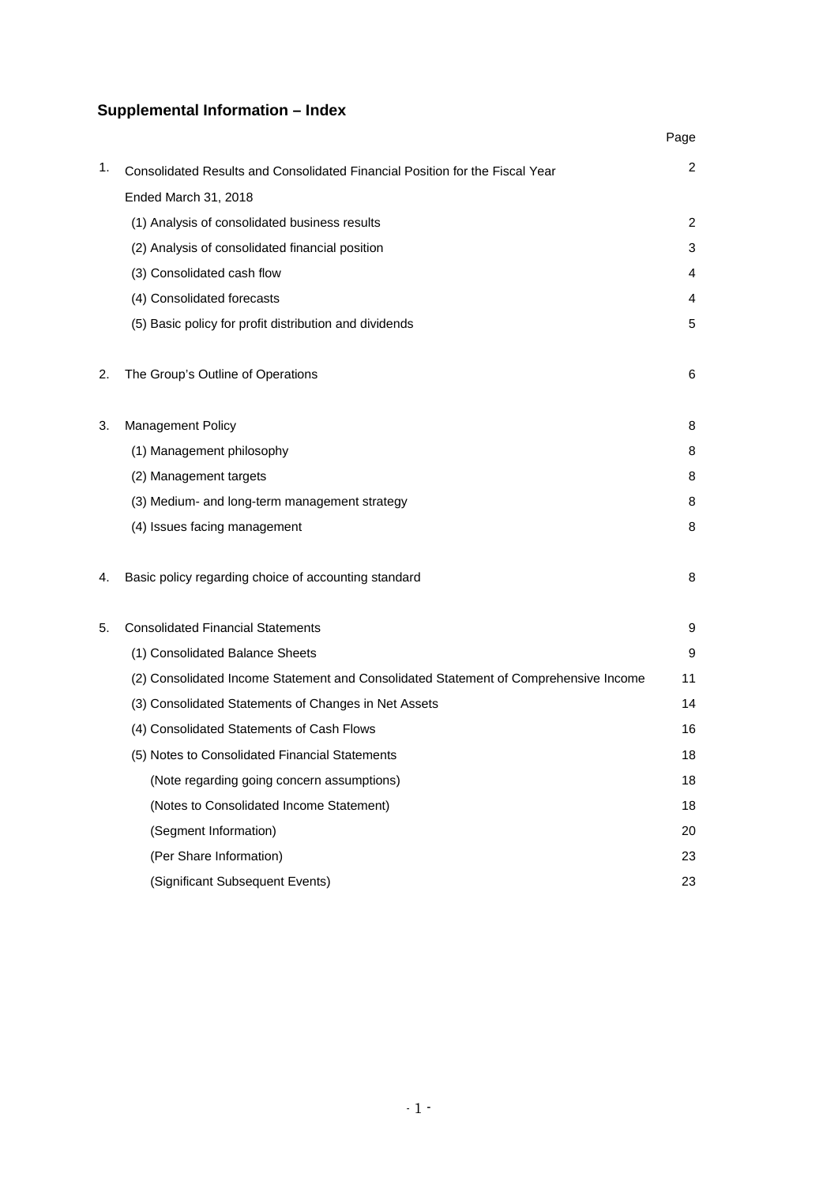## **Supplemental Information – Index**

|    |                                                                                      | Page |
|----|--------------------------------------------------------------------------------------|------|
| 1. | Consolidated Results and Consolidated Financial Position for the Fiscal Year         | 2    |
|    | Ended March 31, 2018                                                                 |      |
|    | (1) Analysis of consolidated business results                                        | 2    |
|    | (2) Analysis of consolidated financial position                                      | 3    |
|    | (3) Consolidated cash flow                                                           | 4    |
|    | (4) Consolidated forecasts                                                           | 4    |
|    | (5) Basic policy for profit distribution and dividends                               | 5    |
| 2. | The Group's Outline of Operations                                                    | 6    |
| 3. | Management Policy                                                                    | 8    |
|    | (1) Management philosophy                                                            | 8    |
|    | (2) Management targets                                                               | 8    |
|    | (3) Medium- and long-term management strategy                                        | 8    |
|    | (4) Issues facing management                                                         | 8    |
| 4. | Basic policy regarding choice of accounting standard                                 | 8    |
| 5. | <b>Consolidated Financial Statements</b>                                             | 9    |
|    | (1) Consolidated Balance Sheets                                                      | 9    |
|    | (2) Consolidated Income Statement and Consolidated Statement of Comprehensive Income | 11   |
|    | (3) Consolidated Statements of Changes in Net Assets                                 | 14   |
|    | (4) Consolidated Statements of Cash Flows                                            | 16   |
|    | (5) Notes to Consolidated Financial Statements                                       | 18   |
|    | (Note regarding going concern assumptions)                                           | 18   |
|    | (Notes to Consolidated Income Statement)                                             | 18   |
|    | (Segment Information)                                                                | 20   |
|    | (Per Share Information)                                                              | 23   |
|    | (Significant Subsequent Events)                                                      | 23   |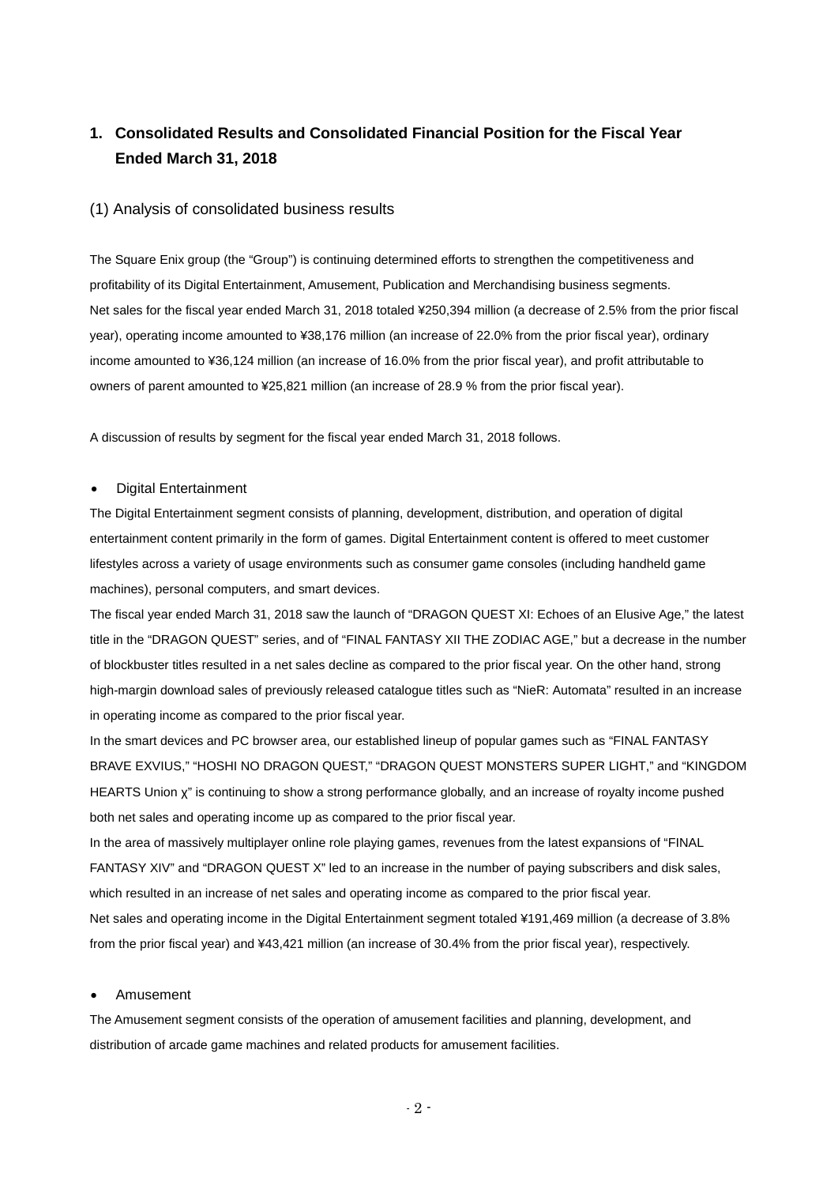## **1. Consolidated Results and Consolidated Financial Position for the Fiscal Year Ended March 31, 2018**

#### (1) Analysis of consolidated business results

The Square Enix group (the "Group") is continuing determined efforts to strengthen the competitiveness and profitability of its Digital Entertainment, Amusement, Publication and Merchandising business segments. Net sales for the fiscal year ended March 31, 2018 totaled ¥250,394 million (a decrease of 2.5% from the prior fiscal year), operating income amounted to ¥38,176 million (an increase of 22.0% from the prior fiscal year), ordinary income amounted to ¥36,124 million (an increase of 16.0% from the prior fiscal year), and profit attributable to owners of parent amounted to ¥25,821 million (an increase of 28.9 % from the prior fiscal year).

A discussion of results by segment for the fiscal year ended March 31, 2018 follows.

#### • Digital Entertainment

The Digital Entertainment segment consists of planning, development, distribution, and operation of digital entertainment content primarily in the form of games. Digital Entertainment content is offered to meet customer lifestyles across a variety of usage environments such as consumer game consoles (including handheld game machines), personal computers, and smart devices.

The fiscal year ended March 31, 2018 saw the launch of "DRAGON QUEST XI: Echoes of an Elusive Age," the latest title in the "DRAGON QUEST" series, and of "FINAL FANTASY XII THE ZODIAC AGE," but a decrease in the number of blockbuster titles resulted in a net sales decline as compared to the prior fiscal year. On the other hand, strong high-margin download sales of previously released catalogue titles such as "NieR: Automata" resulted in an increase in operating income as compared to the prior fiscal year.

In the smart devices and PC browser area, our established lineup of popular games such as "FINAL FANTASY BRAVE EXVIUS," "HOSHI NO DRAGON QUEST," "DRAGON QUEST MONSTERS SUPER LIGHT," and "KINGDOM HEARTS Union χ" is continuing to show a strong performance globally, and an increase of royalty income pushed both net sales and operating income up as compared to the prior fiscal year.

In the area of massively multiplayer online role playing games, revenues from the latest expansions of "FINAL FANTASY XIV" and "DRAGON QUEST X" led to an increase in the number of paying subscribers and disk sales, which resulted in an increase of net sales and operating income as compared to the prior fiscal year. Net sales and operating income in the Digital Entertainment segment totaled ¥191,469 million (a decrease of 3.8% from the prior fiscal year) and ¥43,421 million (an increase of 30.4% from the prior fiscal year), respectively.

#### • Amusement

The Amusement segment consists of the operation of amusement facilities and planning, development, and distribution of arcade game machines and related products for amusement facilities.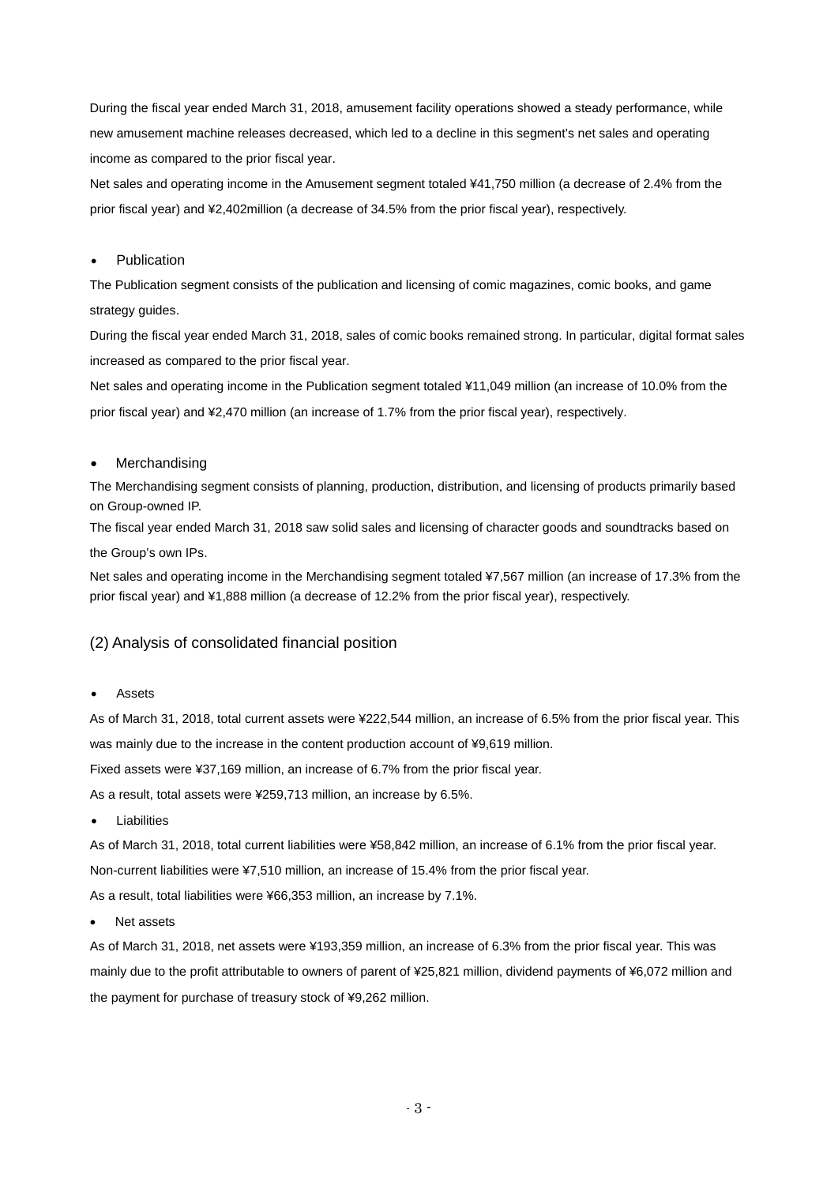During the fiscal year ended March 31, 2018, amusement facility operations showed a steady performance, while new amusement machine releases decreased, which led to a decline in this segment's net sales and operating income as compared to the prior fiscal year.

Net sales and operating income in the Amusement segment totaled ¥41,750 million (a decrease of 2.4% from the prior fiscal year) and ¥2,402million (a decrease of 34.5% from the prior fiscal year), respectively.

#### **Publication**

The Publication segment consists of the publication and licensing of comic magazines, comic books, and game strategy guides.

During the fiscal year ended March 31, 2018, sales of comic books remained strong. In particular, digital format sales increased as compared to the prior fiscal year.

Net sales and operating income in the Publication segment totaled ¥11,049 million (an increase of 10.0% from the prior fiscal year) and ¥2,470 million (an increase of 1.7% from the prior fiscal year), respectively.

#### **Merchandising**

The Merchandising segment consists of planning, production, distribution, and licensing of products primarily based on Group-owned IP.

The fiscal year ended March 31, 2018 saw solid sales and licensing of character goods and soundtracks based on the Group's own IPs.

Net sales and operating income in the Merchandising segment totaled ¥7,567 million (an increase of 17.3% from the prior fiscal year) and ¥1,888 million (a decrease of 12.2% from the prior fiscal year), respectively.

#### (2) Analysis of consolidated financial position

**Assets** 

As of March 31, 2018, total current assets were ¥222,544 million, an increase of 6.5% from the prior fiscal year. This was mainly due to the increase in the content production account of ¥9,619 million.

Fixed assets were ¥37,169 million, an increase of 6.7% from the prior fiscal year.

As a result, total assets were ¥259,713 million, an increase by 6.5%.

**Liabilities** 

As of March 31, 2018, total current liabilities were ¥58,842 million, an increase of 6.1% from the prior fiscal year. Non-current liabilities were ¥7,510 million, an increase of 15.4% from the prior fiscal year.

As a result, total liabilities were ¥66,353 million, an increase by 7.1%.

Net assets

As of March 31, 2018, net assets were ¥193,359 million, an increase of 6.3% from the prior fiscal year. This was mainly due to the profit attributable to owners of parent of ¥25,821 million, dividend payments of ¥6,072 million and the payment for purchase of treasury stock of ¥9,262 million.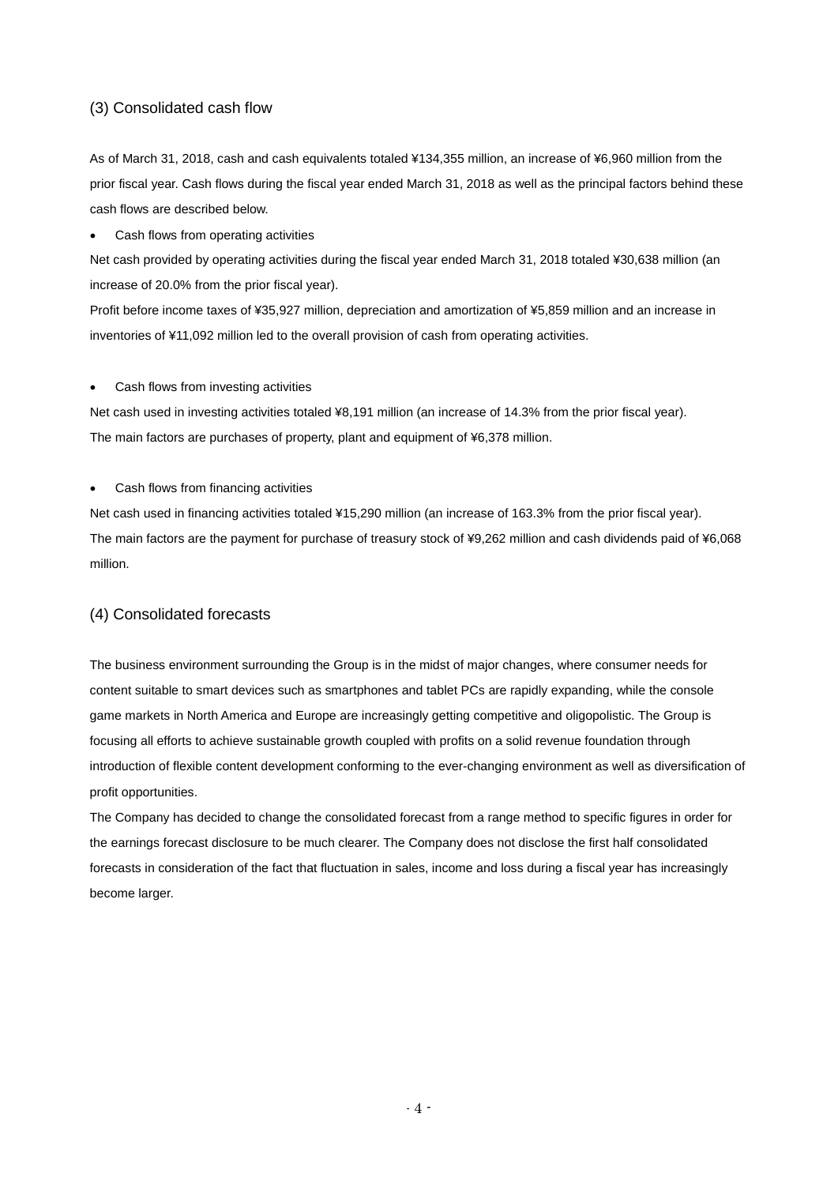### (3) Consolidated cash flow

As of March 31, 2018, cash and cash equivalents totaled ¥134,355 million, an increase of ¥6,960 million from the prior fiscal year. Cash flows during the fiscal year ended March 31, 2018 as well as the principal factors behind these cash flows are described below.

• Cash flows from operating activities

Net cash provided by operating activities during the fiscal year ended March 31, 2018 totaled ¥30,638 million (an increase of 20.0% from the prior fiscal year).

Profit before income taxes of ¥35,927 million, depreciation and amortization of ¥5,859 million and an increase in inventories of ¥11,092 million led to the overall provision of cash from operating activities.

• Cash flows from investing activities

Net cash used in investing activities totaled ¥8,191 million (an increase of 14.3% from the prior fiscal year). The main factors are purchases of property, plant and equipment of ¥6,378 million.

#### • Cash flows from financing activities

Net cash used in financing activities totaled ¥15,290 million (an increase of 163.3% from the prior fiscal year). The main factors are the payment for purchase of treasury stock of ¥9,262 million and cash dividends paid of ¥6,068 million.

### (4) Consolidated forecasts

The business environment surrounding the Group is in the midst of major changes, where consumer needs for content suitable to smart devices such as smartphones and tablet PCs are rapidly expanding, while the console game markets in North America and Europe are increasingly getting competitive and oligopolistic. The Group is focusing all efforts to achieve sustainable growth coupled with profits on a solid revenue foundation through introduction of flexible content development conforming to the ever-changing environment as well as diversification of profit opportunities.

The Company has decided to change the consolidated forecast from a range method to specific figures in order for the earnings forecast disclosure to be much clearer. The Company does not disclose the first half consolidated forecasts in consideration of the fact that fluctuation in sales, income and loss during a fiscal year has increasingly become larger.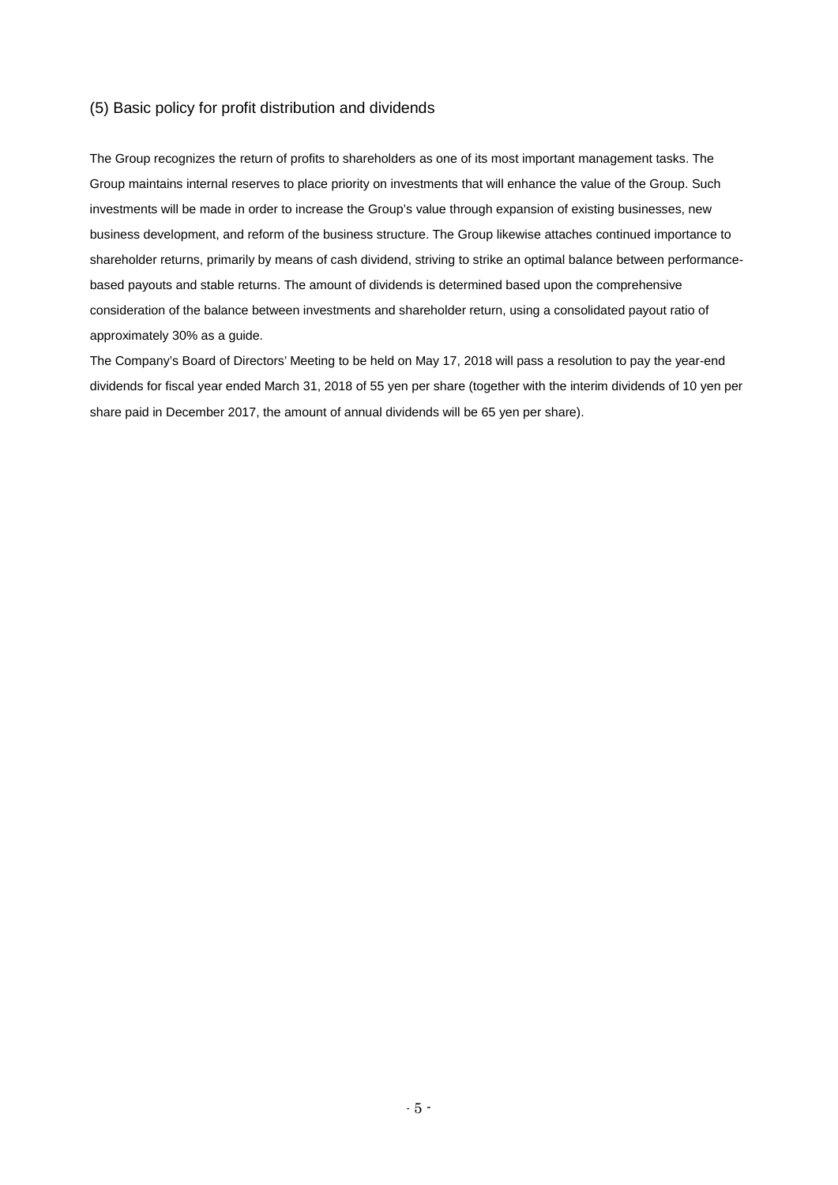### (5) Basic policy for profit distribution and dividends

The Group recognizes the return of profits to shareholders as one of its most important management tasks. The Group maintains internal reserves to place priority on investments that will enhance the value of the Group. Such investments will be made in order to increase the Group's value through expansion of existing businesses, new business development, and reform of the business structure. The Group likewise attaches continued importance to shareholder returns, primarily by means of cash dividend, striving to strike an optimal balance between performancebased payouts and stable returns. The amount of dividends is determined based upon the comprehensive consideration of the balance between investments and shareholder return, using a consolidated payout ratio of approximately 30% as a guide.

The Company's Board of Directors' Meeting to be held on May 17, 2018 will pass a resolution to pay the year-end dividends for fiscal year ended March 31, 2018 of 55 yen per share (together with the interim dividends of 10 yen per share paid in December 2017, the amount of annual dividends will be 65 yen per share).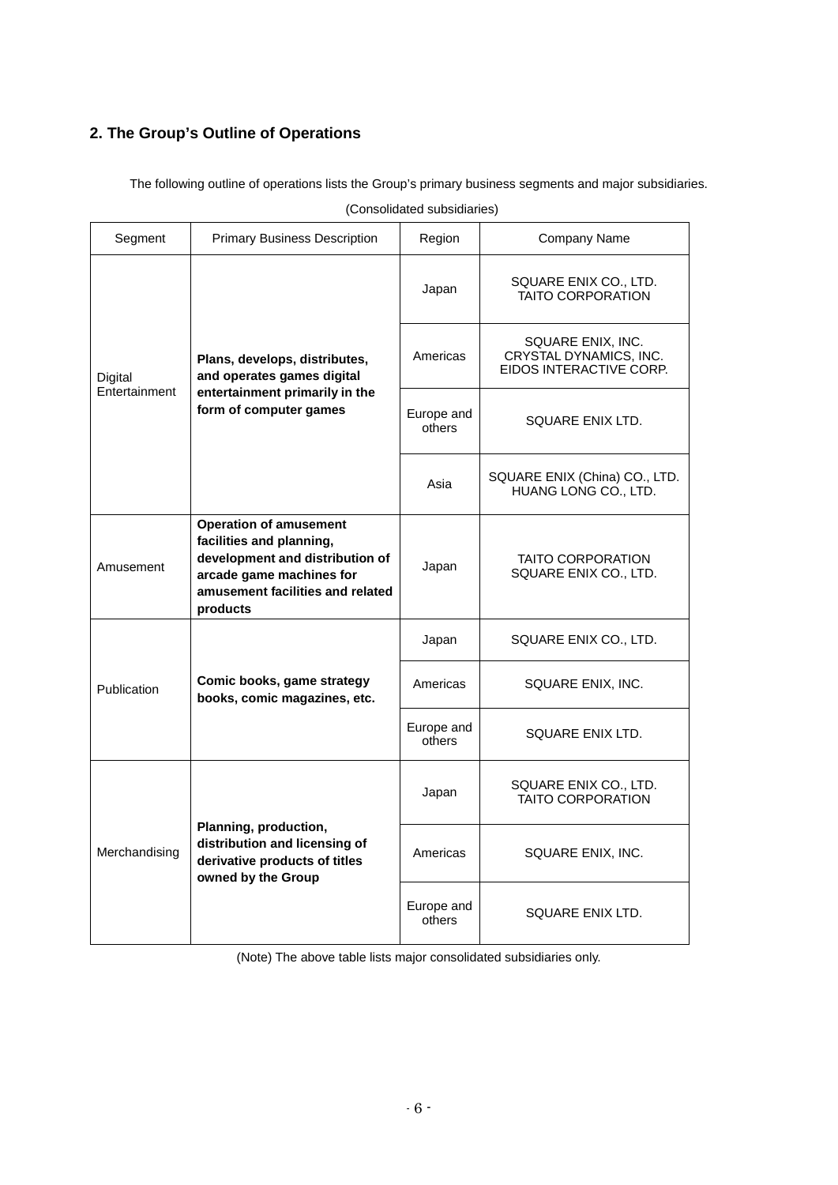## **2. The Group's Outline of Operations**

The following outline of operations lists the Group's primary business segments and major subsidiaries.

| Segment                  | <b>Primary Business Description</b>                                                                                                                                      | Region               | Company Name                                                           |
|--------------------------|--------------------------------------------------------------------------------------------------------------------------------------------------------------------------|----------------------|------------------------------------------------------------------------|
|                          |                                                                                                                                                                          | Japan                | SQUARE ENIX CO., LTD.<br><b>TAITO CORPORATION</b>                      |
| Digital<br>Entertainment | Plans, develops, distributes,<br>and operates games digital                                                                                                              | Americas             | SQUARE ENIX, INC.<br>CRYSTAL DYNAMICS, INC.<br>EIDOS INTERACTIVE CORP. |
|                          | entertainment primarily in the<br>form of computer games                                                                                                                 | Europe and<br>others | SQUARE ENIX LTD.                                                       |
|                          |                                                                                                                                                                          | Asia                 | SQUARE ENIX (China) CO., LTD.<br>HUANG LONG CO., LTD.                  |
| Amusement                | <b>Operation of amusement</b><br>facilities and planning,<br>development and distribution of<br>arcade game machines for<br>amusement facilities and related<br>products |                      | TAITO CORPORATION<br>SQUARE ENIX CO., LTD.                             |
|                          |                                                                                                                                                                          | Japan                | SQUARE ENIX CO., LTD.                                                  |
| Publication              | Comic books, game strategy<br>books, comic magazines, etc.                                                                                                               | Americas             | SQUARE ENIX, INC.                                                      |
|                          |                                                                                                                                                                          | Europe and<br>others | SQUARE ENIX LTD.                                                       |
|                          |                                                                                                                                                                          | Japan                | SQUARE ENIX CO., LTD.<br><b>TAITO CORPORATION</b>                      |
| Merchandising            | Planning, production,<br>distribution and licensing of<br>derivative products of titles<br>owned by the Group                                                            | Americas             | SQUARE ENIX, INC.                                                      |
|                          |                                                                                                                                                                          | Europe and<br>others | SQUARE ENIX LTD.                                                       |

(Consolidated subsidiaries)

(Note) The above table lists major consolidated subsidiaries only.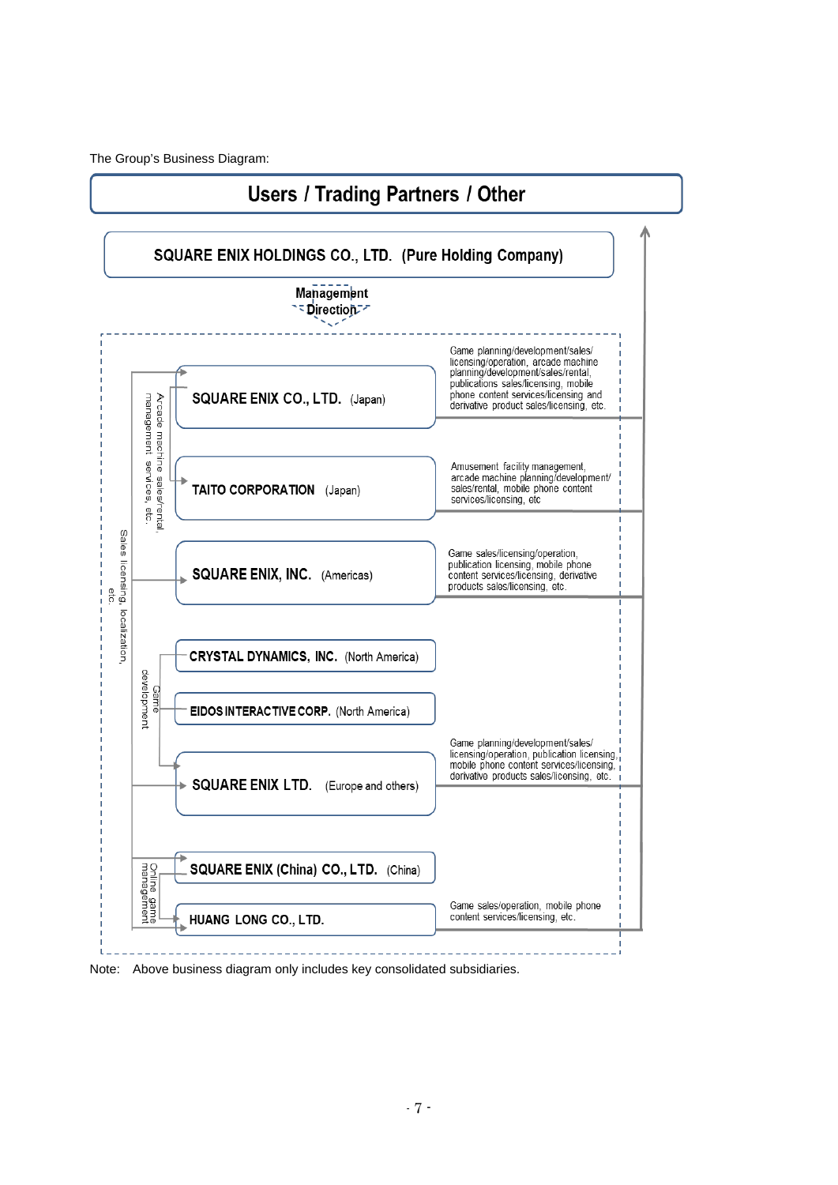The Group's Business Diagram:



Note: Above business diagram only includes key consolidated subsidiaries.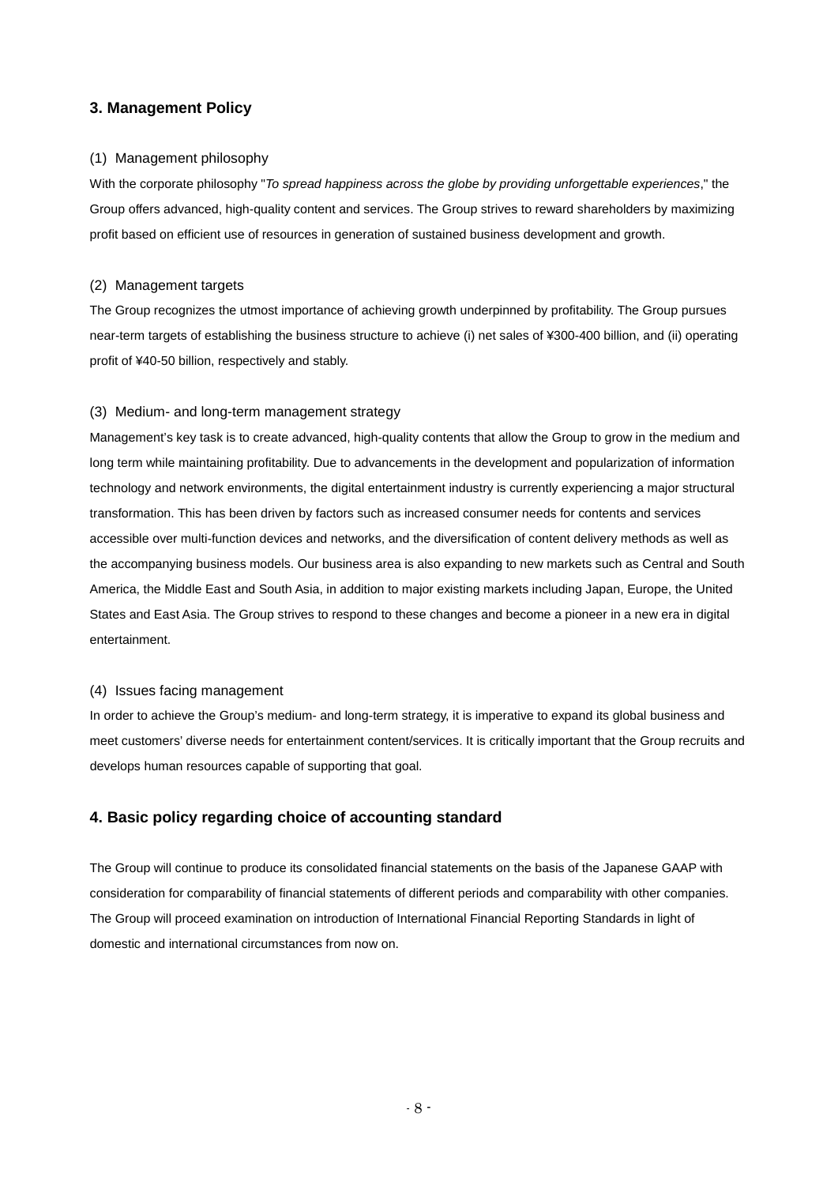### **3. Management Policy**

#### (1) Management philosophy

With the corporate philosophy "*To spread happiness across the globe by providing unforgettable experiences*," the Group offers advanced, high-quality content and services. The Group strives to reward shareholders by maximizing profit based on efficient use of resources in generation of sustained business development and growth.

#### (2) Management targets

The Group recognizes the utmost importance of achieving growth underpinned by profitability. The Group pursues near-term targets of establishing the business structure to achieve (i) net sales of ¥300-400 billion, and (ii) operating profit of ¥40-50 billion, respectively and stably.

#### (3) Medium- and long-term management strategy

Management's key task is to create advanced, high-quality contents that allow the Group to grow in the medium and long term while maintaining profitability. Due to advancements in the development and popularization of information technology and network environments, the digital entertainment industry is currently experiencing a major structural transformation. This has been driven by factors such as increased consumer needs for contents and services accessible over multi-function devices and networks, and the diversification of content delivery methods as well as the accompanying business models. Our business area is also expanding to new markets such as Central and South America, the Middle East and South Asia, in addition to major existing markets including Japan, Europe, the United States and East Asia. The Group strives to respond to these changes and become a pioneer in a new era in digital entertainment.

#### (4) Issues facing management

In order to achieve the Group's medium- and long-term strategy, it is imperative to expand its global business and meet customers' diverse needs for entertainment content/services. It is critically important that the Group recruits and develops human resources capable of supporting that goal.

### **4. Basic policy regarding choice of accounting standard**

The Group will continue to produce its consolidated financial statements on the basis of the Japanese GAAP with consideration for comparability of financial statements of different periods and comparability with other companies. The Group will proceed examination on introduction of International Financial Reporting Standards in light of domestic and international circumstances from now on.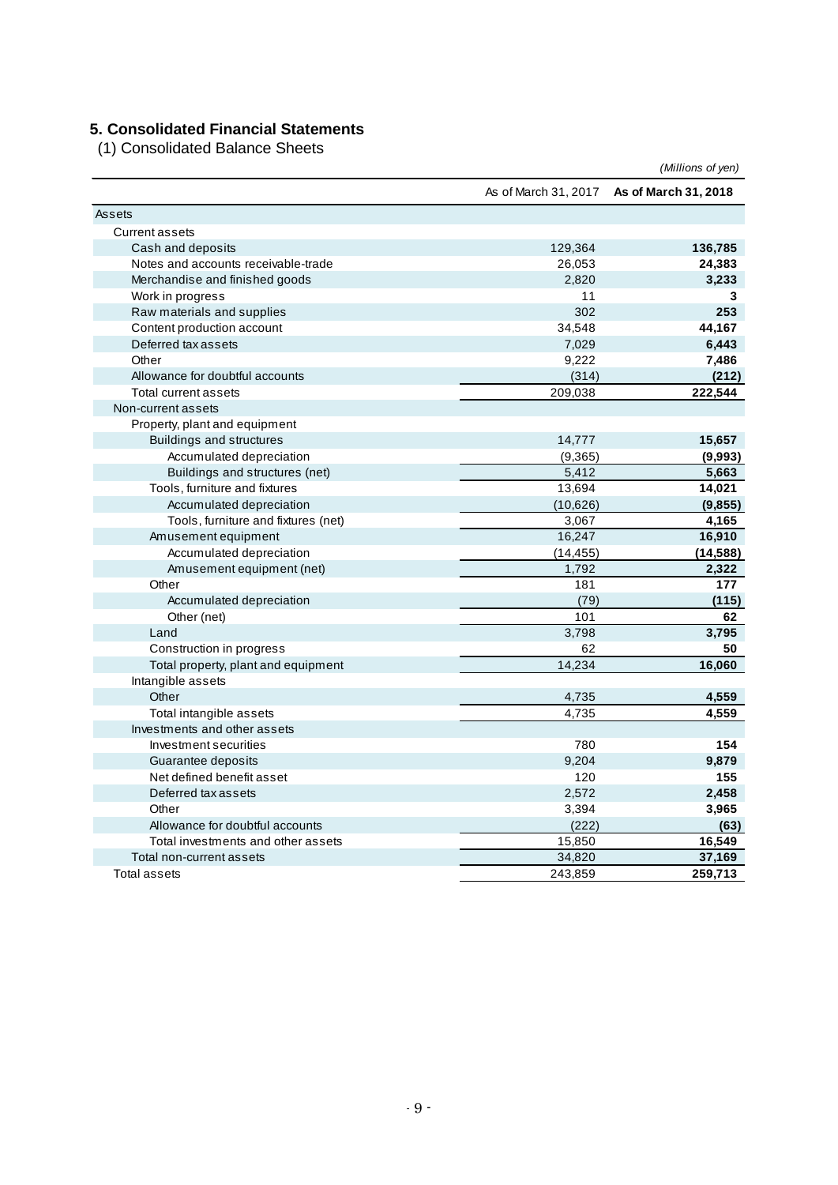## **5. Consolidated Financial Statements**

(1) Consolidated Balance Sheets

|                                     |                      | (Millions of yen)    |
|-------------------------------------|----------------------|----------------------|
|                                     | As of March 31, 2017 | As of March 31, 2018 |
| Assets                              |                      |                      |
| <b>Current assets</b>               |                      |                      |
| Cash and deposits                   | 129,364              | 136,785              |
| Notes and accounts receivable-trade | 26,053               | 24,383               |
| Merchandise and finished goods      | 2,820                | 3,233                |
| Work in progress                    | 11                   | 3                    |
| Raw materials and supplies          | 302                  | 253                  |
| Content production account          | 34,548               | 44,167               |
| Deferred tax assets                 | 7,029                | 6,443                |
| Other                               | 9,222                | 7,486                |
| Allowance for doubtful accounts     | (314)                | (212)                |
| Total current assets                | 209,038              | 222,544              |
| Non-current assets                  |                      |                      |
| Property, plant and equipment       |                      |                      |
| <b>Buildings and structures</b>     | 14,777               | 15,657               |
| Accumulated depreciation            | (9,365)              | (9,993)              |
| Buildings and structures (net)      | 5,412                | 5,663                |
| Tools, furniture and fixtures       | 13,694               | 14,021               |
| Accumulated depreciation            | (10,626)             | (9, 855)             |
| Tools, furniture and fixtures (net) | 3,067                | 4,165                |
| Amusement equipment                 | 16,247               | 16,910               |
| Accumulated depreciation            | (14, 455)            | (14, 588)            |
| Amusement equipment (net)           | 1,792                | 2,322                |
| Other                               | 181                  | 177                  |
| Accumulated depreciation            | (79)                 | (115)                |
| Other (net)                         | 101                  | 62                   |
| Land                                | 3,798                | 3,795                |
| Construction in progress            | 62                   | 50                   |
| Total property, plant and equipment | 14,234               | 16,060               |
| Intangible assets                   |                      |                      |
| Other                               | 4,735                | 4,559                |
| Total intangible assets             | 4,735                | 4,559                |
| Investments and other assets        |                      |                      |
| Investment securities               | 780                  | 154                  |
| Guarantee deposits                  | 9,204                | 9,879                |
| Net defined benefit asset           | 120                  | 155                  |
| Deferred tax assets                 | 2,572                | 2,458                |
| Other                               | 3,394                | 3,965                |
| Allowance for doubtful accounts     | (222)                | (63)                 |
| Total investments and other assets  | 15,850               | 16,549               |
| Total non-current assets            | 34,820               | 37,169               |
| <b>Total assets</b>                 | 243,859              | 259,713              |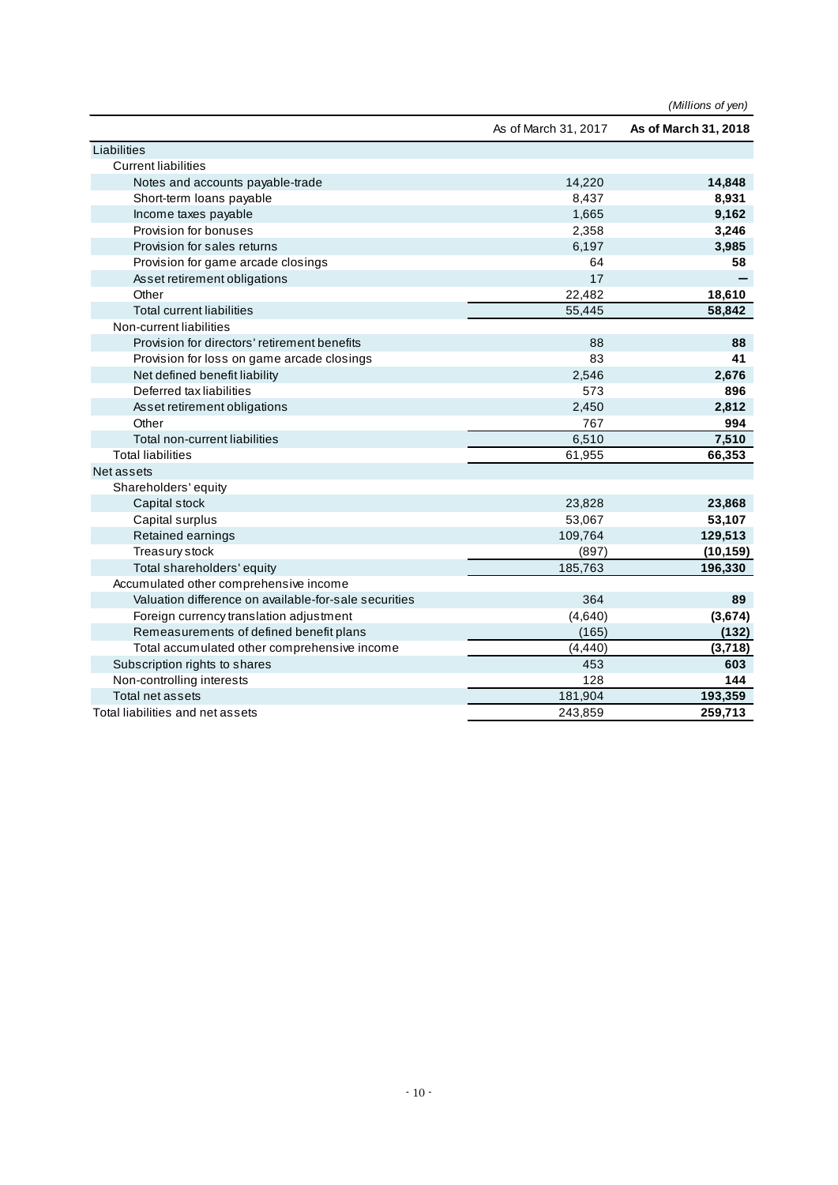|                                                       |                      | (Millions of yen)    |
|-------------------------------------------------------|----------------------|----------------------|
|                                                       | As of March 31, 2017 | As of March 31, 2018 |
| Liabilities                                           |                      |                      |
| <b>Current liabilities</b>                            |                      |                      |
| Notes and accounts payable-trade                      | 14,220               | 14,848               |
| Short-term loans payable                              | 8,437                | 8,931                |
| Income taxes payable                                  | 1,665                | 9,162                |
| Provision for bonuses                                 | 2,358                | 3,246                |
| Provision for sales returns                           | 6,197                | 3,985                |
| Provision for game arcade closings                    | 64                   | 58                   |
| Asset retirement obligations                          | 17                   |                      |
| Other                                                 | 22,482               | 18,610               |
| <b>Total current liabilities</b>                      | 55,445               | 58,842               |
| Non-current liabilities                               |                      |                      |
| Provision for directors' retirement benefits          | 88                   | 88                   |
| Provision for loss on game arcade closings            | 83                   | 41                   |
| Net defined benefit liability                         | 2,546                | 2,676                |
| Deferred tax liabilities                              | 573                  | 896                  |
| Asset retirement obligations                          | 2,450                | 2,812                |
| Other                                                 | 767                  | 994                  |
| Total non-current liabilities                         | 6,510                | 7,510                |
| <b>Total liabilities</b>                              | 61,955               | 66,353               |
| Net assets                                            |                      |                      |
| Shareholders' equity                                  |                      |                      |
| Capital stock                                         | 23,828               | 23,868               |
| Capital surplus                                       | 53,067               | 53,107               |
| Retained earnings                                     | 109,764              | 129,513              |
| Treasury stock                                        | (897)                | (10, 159)            |
| Total shareholders' equity                            | 185,763              | 196,330              |
| Accumulated other comprehensive income                |                      |                      |
| Valuation difference on available-for-sale securities | 364                  | 89                   |
| Foreign currency translation adjustment               | (4,640)              | (3,674)              |
| Remeasurements of defined benefit plans               | (165)                | (132)                |
| Total accumulated other comprehensive income          | (4, 440)             | (3,718)              |
| Subscription rights to shares                         | 453                  | 603                  |
| Non-controlling interests                             | 128                  | 144                  |
| Total net assets                                      | 181,904              | 193,359              |
| Total liabilities and net assets                      | 243,859              | 259,713              |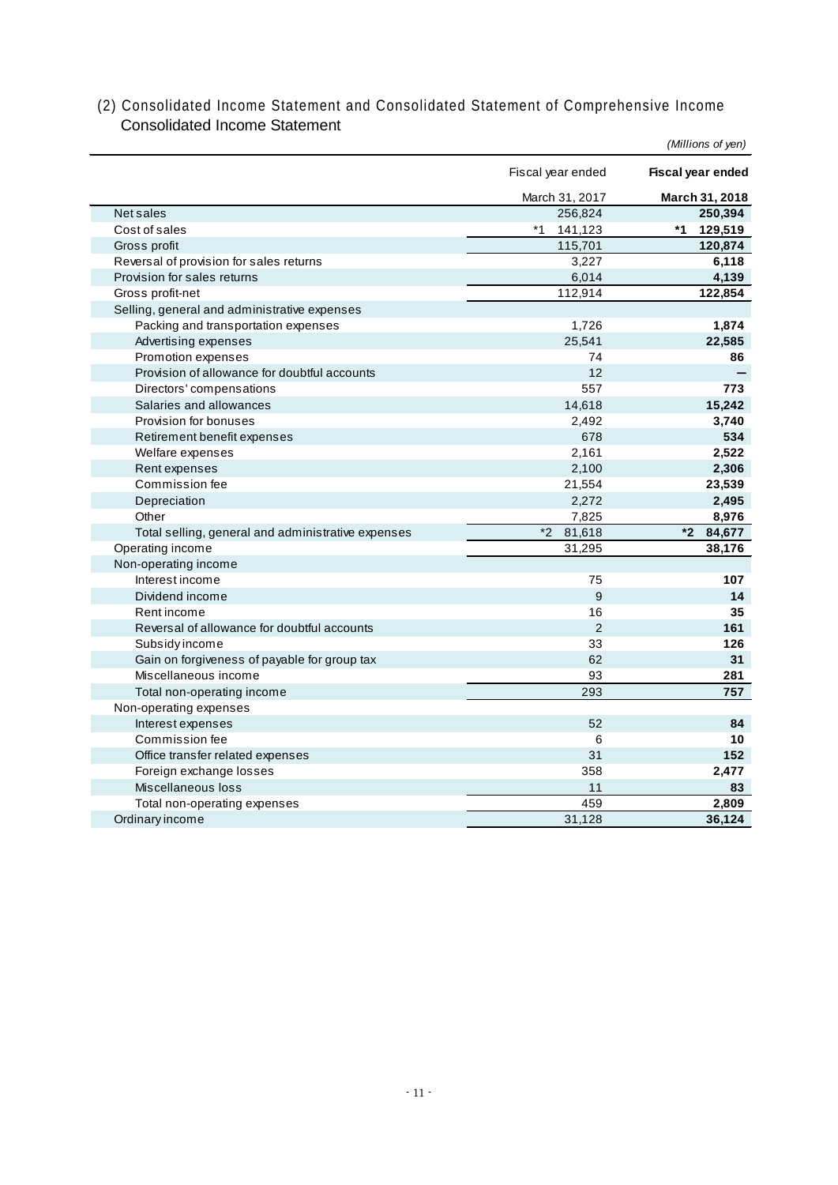## (2) Consolidated Income Statement and Consolidated Statement of Comprehensive Income Consolidated Income Statement

|                                                    |                   | (Millions of yen) |
|----------------------------------------------------|-------------------|-------------------|
|                                                    | Fiscal year ended | Fiscal year ended |
|                                                    | March 31, 2017    | March 31, 2018    |
| Net sales                                          | 256,824           | 250,394           |
| Cost of sales                                      | $*1$<br>141,123   | *1<br>129,519     |
| Gross profit                                       | 115,701           | 120,874           |
| Reversal of provision for sales returns            | 3,227             | 6,118             |
| Provision for sales returns                        | 6,014             | 4,139             |
| Gross profit-net                                   | 112,914           | 122,854           |
| Selling, general and administrative expenses       |                   |                   |
| Packing and transportation expenses                | 1,726             | 1,874             |
| Advertising expenses                               | 25,541            | 22,585            |
| Promotion expenses                                 | 74                | 86                |
| Provision of allowance for doubtful accounts       | 12                |                   |
| Directors' compensations                           | 557               | 773               |
| Salaries and allowances                            | 14,618            | 15,242            |
| Provision for bonuses                              | 2,492             | 3,740             |
| Retirement benefit expenses                        | 678               | 534               |
| Welfare expenses                                   | 2,161             | 2,522             |
| Rent expenses                                      | 2,100             | 2,306             |
| Commission fee                                     | 21,554            | 23,539            |
| Depreciation                                       | 2,272             | 2,495             |
| Other                                              | 7,825             | 8,976             |
| Total selling, general and administrative expenses | $*2$<br>81,618    | $*2$<br>84,677    |
| Operating income                                   | 31,295            | 38,176            |
| Non-operating income                               |                   |                   |
| Interest income                                    | 75                | 107               |
| Dividend income                                    | 9                 | 14                |
| Rent income                                        | 16                | 35                |
| Reversal of allowance for doubtful accounts        | $\overline{2}$    | 161               |
| Subsidy income                                     | 33                | 126               |
| Gain on forgiveness of payable for group tax       | 62                | 31                |
| Miscellaneous income                               | 93                | 281               |
| Total non-operating income                         | 293               | 757               |
| Non-operating expenses                             |                   |                   |
| Interest expenses                                  | 52                | 84                |
| Commission fee                                     | 6                 | 10                |
| Office transfer related expenses                   | 31                | 152               |
| Foreign exchange losses                            | 358               | 2,477             |
| Miscellaneous loss                                 | 11                | 83                |
| Total non-operating expenses                       | 459               | 2,809             |
| Ordinary income                                    | 31,128            | 36,124            |
|                                                    |                   |                   |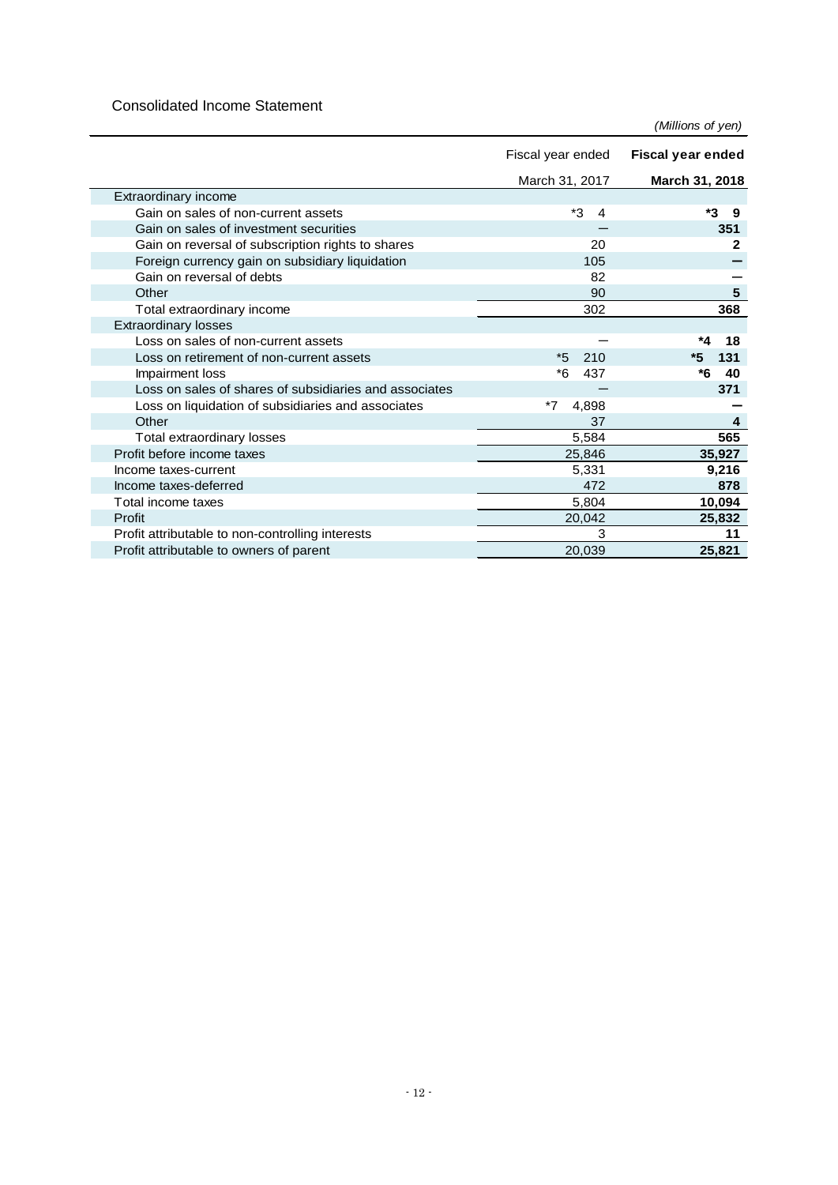### Consolidated Income Statement

*(Millions of yen)*

|                                                        | Fiscal year ended    | <b>Fiscal year ended</b> |
|--------------------------------------------------------|----------------------|--------------------------|
|                                                        | March 31, 2017       | March 31, 2018           |
| Extraordinary income                                   |                      |                          |
| Gain on sales of non-current assets                    | *3<br>$\overline{4}$ | *3<br>-9                 |
| Gain on sales of investment securities                 |                      | 351                      |
| Gain on reversal of subscription rights to shares      | 20                   | 2                        |
| Foreign currency gain on subsidiary liquidation        | 105                  |                          |
| Gain on reversal of debts                              | 82                   |                          |
| Other                                                  | 90                   | 5                        |
| Total extraordinary income                             | 302                  | 368                      |
| <b>Extraordinary losses</b>                            |                      |                          |
| Loss on sales of non-current assets                    |                      | *4<br>18                 |
| Loss on retirement of non-current assets               | $*5$<br>210          | 131<br>*5                |
| Impairment loss                                        | *6<br>437            | *6<br>40                 |
| Loss on sales of shares of subsidiaries and associates |                      | 371                      |
| Loss on liquidation of subsidiaries and associates     | $*7$<br>4,898        |                          |
| Other                                                  | 37                   | 4                        |
| Total extraordinary losses                             | 5,584                | 565                      |
| Profit before income taxes                             | 25,846               | 35,927                   |
| Income taxes-current                                   | 5,331                | 9,216                    |
| Income taxes-deferred                                  | 472                  | 878                      |
| Total income taxes                                     | 5,804                | 10,094                   |
| Profit                                                 | 20,042               | 25,832                   |
| Profit attributable to non-controlling interests       | 3                    | 11                       |
| Profit attributable to owners of parent                | 20,039               | 25,821                   |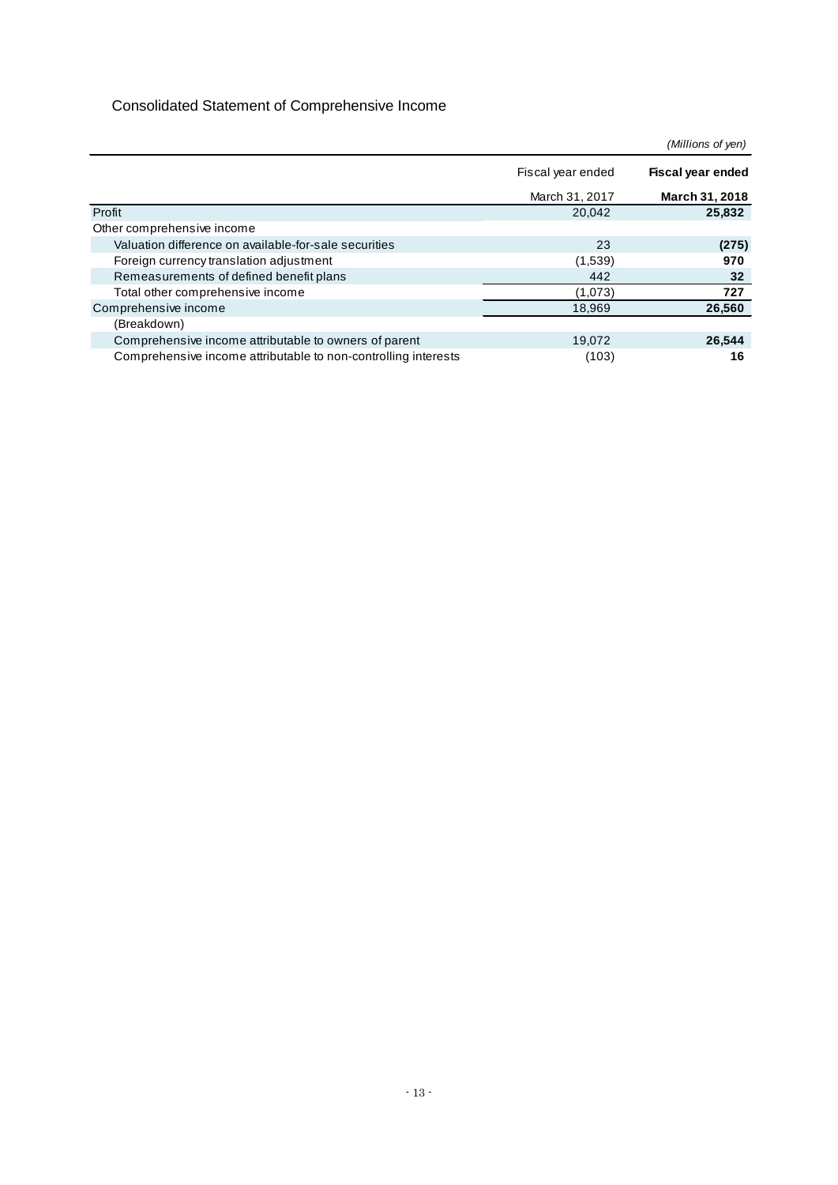## Consolidated Statement of Comprehensive Income

|                                                                |                   | (Millions of yen)        |
|----------------------------------------------------------------|-------------------|--------------------------|
|                                                                | Fiscal year ended | <b>Fiscal year ended</b> |
|                                                                | March 31, 2017    | March 31, 2018           |
| Profit                                                         | 20,042            | 25,832                   |
| Other comprehensive income                                     |                   |                          |
| Valuation difference on available-for-sale securities          | 23                | (275)                    |
| Foreign currency translation adjustment                        | (1,539)           | 970                      |
| Remeasurements of defined benefit plans                        | 442               | 32                       |
| Total other comprehensive income                               | (1,073)           | 727                      |
| Comprehensive income                                           | 18,969            | 26,560                   |
| (Breakdown)                                                    |                   |                          |
| Comprehensive income attributable to owners of parent          | 19,072            | 26,544                   |
| Comprehensive income attributable to non-controlling interests | (103)             | 16                       |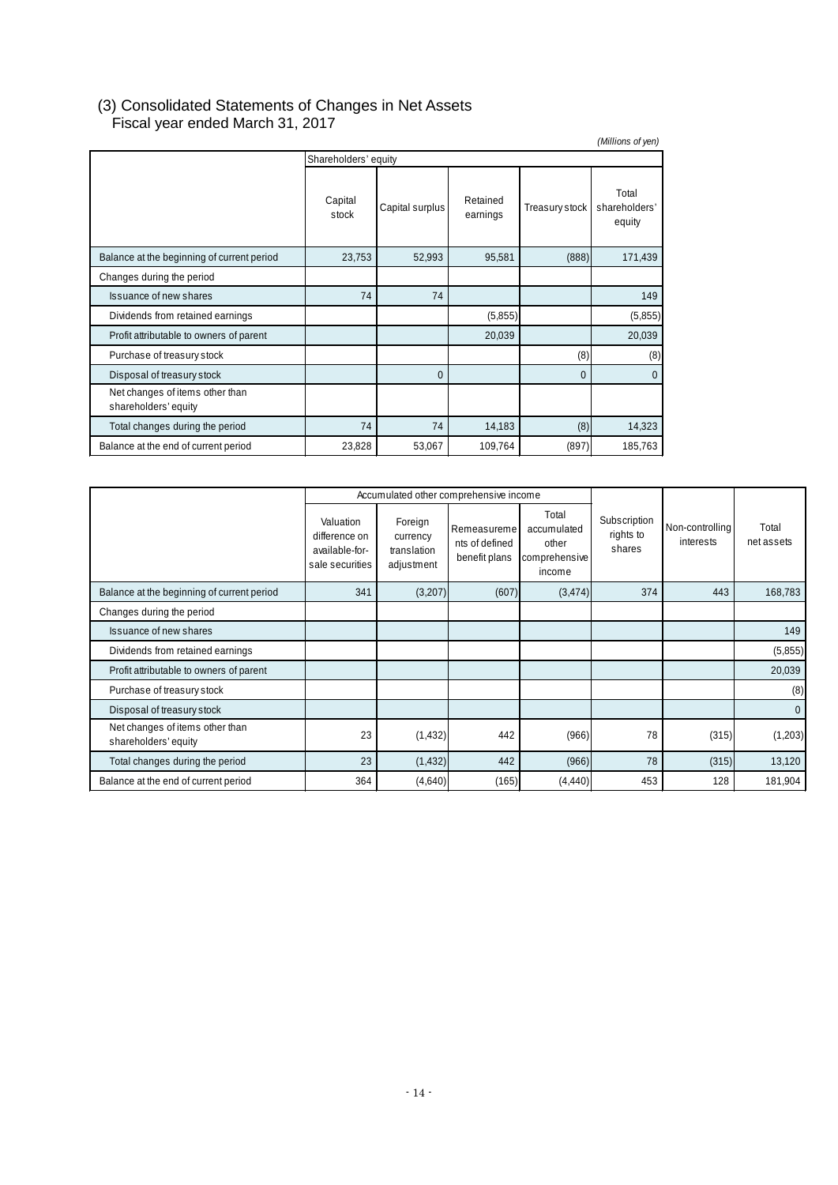## (3) Consolidated Statements of Changes in Net Assets Fiscal year ended March 31, 2017

| (Millions of yen)                                       |                  |                 |                      |                |                                  |  |
|---------------------------------------------------------|------------------|-----------------|----------------------|----------------|----------------------------------|--|
| Shareholders' equity                                    |                  |                 |                      |                |                                  |  |
|                                                         | Capital<br>stock | Capital surplus | Retained<br>earnings | Treasury stock | Total<br>shareholders'<br>equity |  |
| Balance at the beginning of current period              | 23,753           | 52,993          | 95,581               | (888)          | 171,439                          |  |
| Changes during the period                               |                  |                 |                      |                |                                  |  |
| <b>Issuance of new shares</b>                           | 74               | 74              |                      |                | 149                              |  |
| Dividends from retained earnings                        |                  |                 | (5,855)              |                | (5,855)                          |  |
| Profit attributable to owners of parent                 |                  |                 | 20,039               |                | 20,039                           |  |
| Purchase of treasury stock                              |                  |                 |                      | (8)            | (8)                              |  |
| Disposal of treasury stock                              |                  | $\Omega$        |                      | $\Omega$       | $\Omega$                         |  |
| Net changes of items other than<br>shareholders' equity |                  |                 |                      |                |                                  |  |
| Total changes during the period                         | 74               | 74              | 14,183               | (8)            | 14,323                           |  |
| Balance at the end of current period                    | 23,828           | 53,067          | 109,764              | (897)          | 185,763                          |  |

|                                                         |                                                                 | Accumulated other comprehensive income           |                                                |                                                          |                                     |                              |                     |
|---------------------------------------------------------|-----------------------------------------------------------------|--------------------------------------------------|------------------------------------------------|----------------------------------------------------------|-------------------------------------|------------------------------|---------------------|
|                                                         | Valuation<br>difference on<br>available-for-<br>sale securities | Foreign<br>currency<br>translation<br>adjustment | Remeasureme<br>nts of defined<br>benefit plans | Total<br>accumulated<br>other<br>comprehensive<br>income | Subscription<br>rights to<br>shares | Non-controlling<br>interests | Total<br>net assets |
| Balance at the beginning of current period              | 341                                                             | (3,207)                                          | (607)                                          | (3, 474)                                                 | 374                                 | 443                          | 168,783             |
| Changes during the period                               |                                                                 |                                                  |                                                |                                                          |                                     |                              |                     |
| Issuance of new shares                                  |                                                                 |                                                  |                                                |                                                          |                                     |                              | 149                 |
| Dividends from retained earnings                        |                                                                 |                                                  |                                                |                                                          |                                     |                              | (5,855)             |
| Profit attributable to owners of parent                 |                                                                 |                                                  |                                                |                                                          |                                     |                              | 20,039              |
| Purchase of treasury stock                              |                                                                 |                                                  |                                                |                                                          |                                     |                              | (8)                 |
| Disposal of treasury stock                              |                                                                 |                                                  |                                                |                                                          |                                     |                              | $\mathbf{0}$        |
| Net changes of items other than<br>shareholders' equity | 23                                                              | (1, 432)                                         | 442                                            | (966)                                                    | 78                                  | (315)                        | (1,203)             |
| Total changes during the period                         | 23                                                              | (1, 432)                                         | 442                                            | (966)                                                    | 78                                  | (315)                        | 13,120              |
| Balance at the end of current period                    | 364                                                             | (4,640)                                          | (165)                                          | (4, 440)                                                 | 453                                 | 128                          | 181,904             |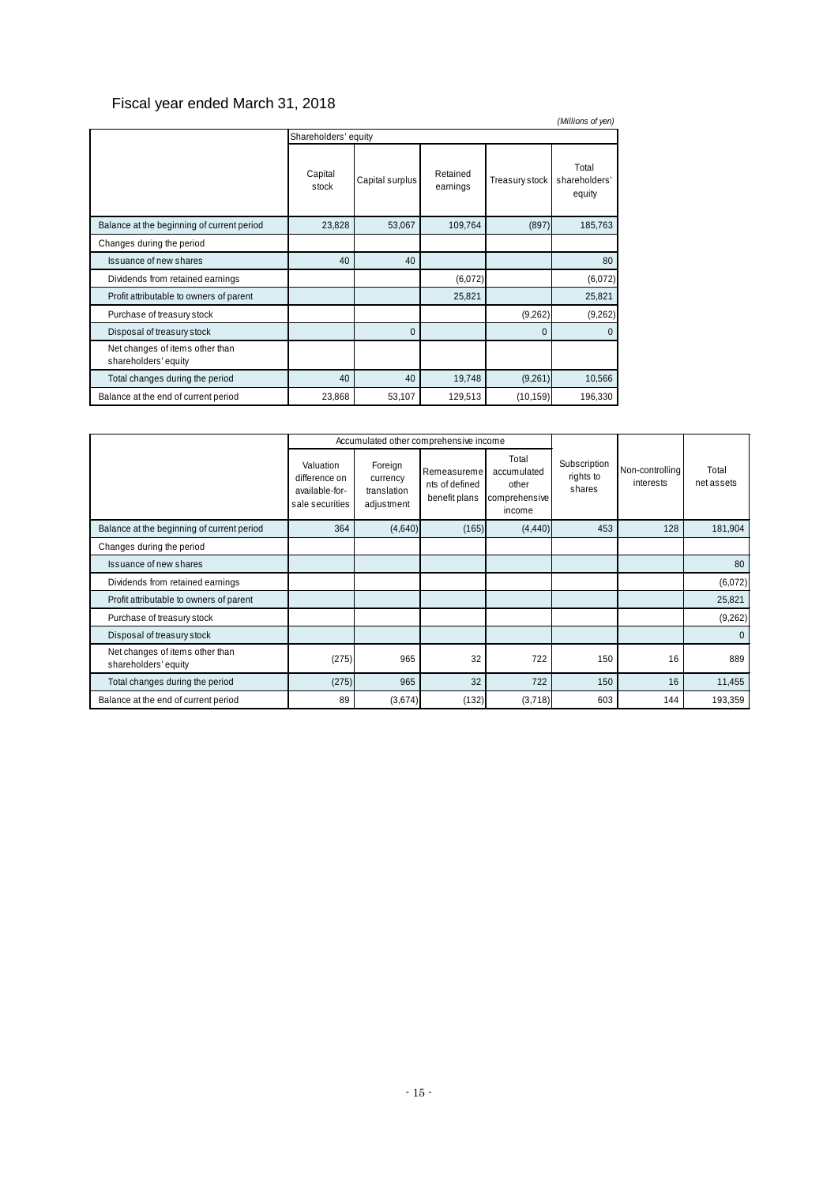## Fiscal year ended March 31, 2018

| (Millions of yen)                                       |                  |                 |                      |                |                                  |  |
|---------------------------------------------------------|------------------|-----------------|----------------------|----------------|----------------------------------|--|
| Shareholders' equity                                    |                  |                 |                      |                |                                  |  |
|                                                         | Capital<br>stock | Capital surplus | Retained<br>earnings | Treasury stock | Total<br>shareholders'<br>equity |  |
| Balance at the beginning of current period              | 23,828           | 53,067          | 109,764              | (897)          | 185,763                          |  |
| Changes during the period                               |                  |                 |                      |                |                                  |  |
| Issuance of new shares                                  | 40               | 40              |                      |                | 80                               |  |
| Dividends from retained earnings                        |                  |                 | (6,072)              |                | (6,072)                          |  |
| Profit attributable to owners of parent                 |                  |                 | 25,821               |                | 25,821                           |  |
| Purchase of treasury stock                              |                  |                 |                      | (9,262)        | (9,262)                          |  |
| Disposal of treasury stock                              |                  | $\Omega$        |                      | $\Omega$       | $\Omega$                         |  |
| Net changes of items other than<br>shareholders' equity |                  |                 |                      |                |                                  |  |
| Total changes during the period                         | 40               | 40              | 19,748               | (9,261)        | 10,566                           |  |
| Balance at the end of current period                    | 23,868           | 53,107          | 129,513              | (10, 159)      | 196,330                          |  |

|                                                         | Accumulated other comprehensive income                          |                                                  |                                                |                                                          |                                     |                              |                     |
|---------------------------------------------------------|-----------------------------------------------------------------|--------------------------------------------------|------------------------------------------------|----------------------------------------------------------|-------------------------------------|------------------------------|---------------------|
|                                                         | Valuation<br>difference on<br>available-for-<br>sale securities | Foreign<br>currency<br>translation<br>adjustment | Remeasureme<br>nts of defined<br>benefit plans | Total<br>accumulated<br>other<br>comprehensive<br>income | Subscription<br>rights to<br>shares | Non-controlling<br>interests | Total<br>net assets |
| Balance at the beginning of current period              | 364                                                             | (4,640)                                          | (165)                                          | (4, 440)                                                 | 453                                 | 128                          | 181,904             |
| Changes during the period                               |                                                                 |                                                  |                                                |                                                          |                                     |                              |                     |
| Issuance of new shares                                  |                                                                 |                                                  |                                                |                                                          |                                     |                              | 80                  |
| Dividends from retained earnings                        |                                                                 |                                                  |                                                |                                                          |                                     |                              | (6,072)             |
| Profit attributable to owners of parent                 |                                                                 |                                                  |                                                |                                                          |                                     |                              | 25,821              |
| Purchase of treasury stock                              |                                                                 |                                                  |                                                |                                                          |                                     |                              | (9,262)             |
| Disposal of treasury stock                              |                                                                 |                                                  |                                                |                                                          |                                     |                              | $\Omega$            |
| Net changes of items other than<br>shareholders' equity | (275)                                                           | 965                                              | 32                                             | 722                                                      | 150                                 | 16                           | 889                 |
| Total changes during the period                         | (275)                                                           | 965                                              | 32                                             | 722                                                      | 150                                 | 16                           | 11,455              |
| Balance at the end of current period                    | 89                                                              | (3,674)                                          | (132)                                          | (3,718)                                                  | 603                                 | 144                          | 193,359             |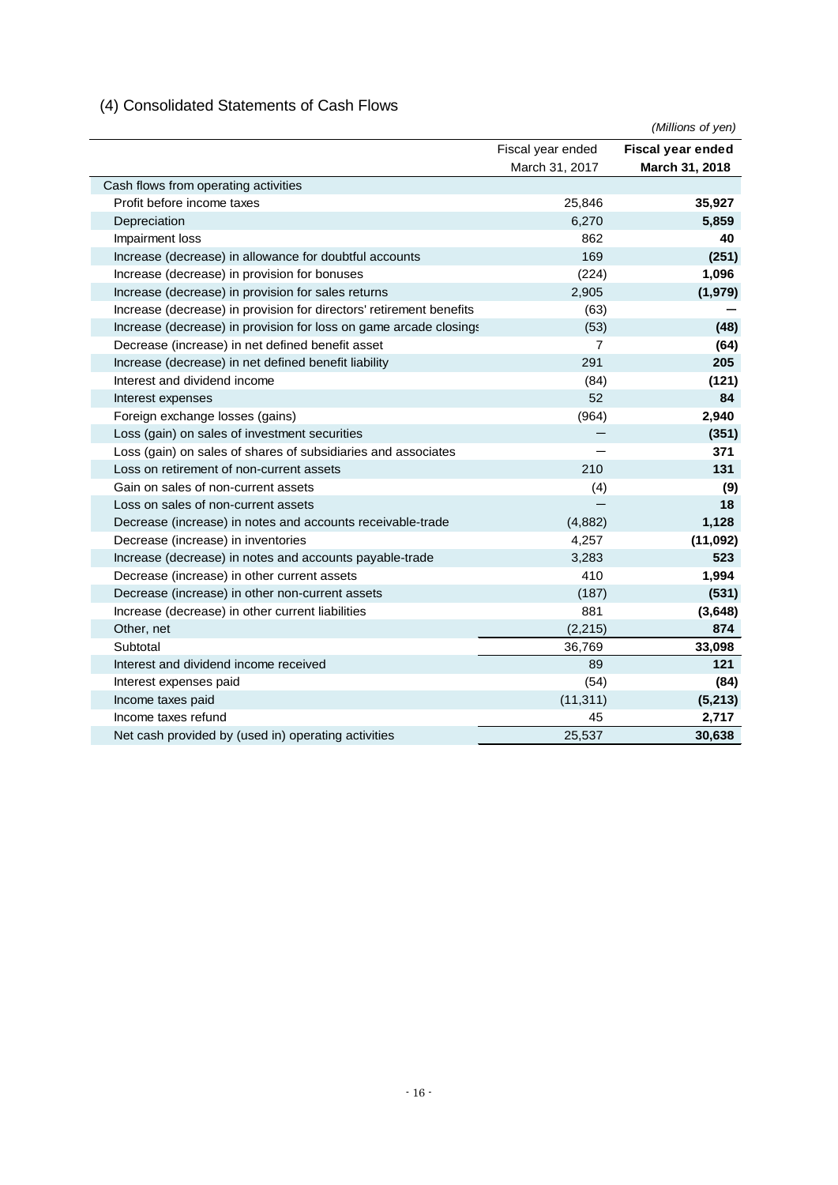## (4) Consolidated Statements of Cash Flows

|                                                                     |                   | (Millions of yen) |
|---------------------------------------------------------------------|-------------------|-------------------|
|                                                                     | Fiscal year ended | Fiscal year ended |
|                                                                     | March 31, 2017    | March 31, 2018    |
| Cash flows from operating activities                                |                   |                   |
| Profit before income taxes                                          | 25,846            | 35,927            |
| Depreciation                                                        | 6,270             | 5,859             |
| Impairment loss                                                     | 862               | 40                |
| Increase (decrease) in allowance for doubtful accounts              | 169               | (251)             |
| Increase (decrease) in provision for bonuses                        | (224)             | 1,096             |
| Increase (decrease) in provision for sales returns                  | 2,905             | (1,979)           |
| Increase (decrease) in provision for directors' retirement benefits | (63)              |                   |
| Increase (decrease) in provision for loss on game arcade closings   | (53)              | (48)              |
| Decrease (increase) in net defined benefit asset                    | 7                 | (64)              |
| Increase (decrease) in net defined benefit liability                | 291               | 205               |
| Interest and dividend income                                        | (84)              | (121)             |
| Interest expenses                                                   | 52                | 84                |
| Foreign exchange losses (gains)                                     | (964)             | 2,940             |
| Loss (gain) on sales of investment securities                       |                   | (351)             |
| Loss (gain) on sales of shares of subsidiaries and associates       |                   | 371               |
| Loss on retirement of non-current assets                            | 210               | 131               |
| Gain on sales of non-current assets                                 | (4)               | (9)               |
| Loss on sales of non-current assets                                 |                   | 18                |
| Decrease (increase) in notes and accounts receivable-trade          | (4,882)           | 1,128             |
| Decrease (increase) in inventories                                  | 4,257             | (11,092)          |
| Increase (decrease) in notes and accounts payable-trade             | 3,283             | 523               |
| Decrease (increase) in other current assets                         | 410               | 1,994             |
| Decrease (increase) in other non-current assets                     | (187)             | (531)             |
| Increase (decrease) in other current liabilities                    | 881               | (3,648)           |
| Other, net                                                          | (2, 215)          | 874               |
| Subtotal                                                            | 36,769            | 33,098            |
| Interest and dividend income received                               | 89                | 121               |
| Interest expenses paid                                              | (54)              | (84)              |
| Income taxes paid                                                   | (11, 311)         | (5, 213)          |
| Income taxes refund                                                 | 45                | 2,717             |
| Net cash provided by (used in) operating activities                 | 25,537            | 30,638            |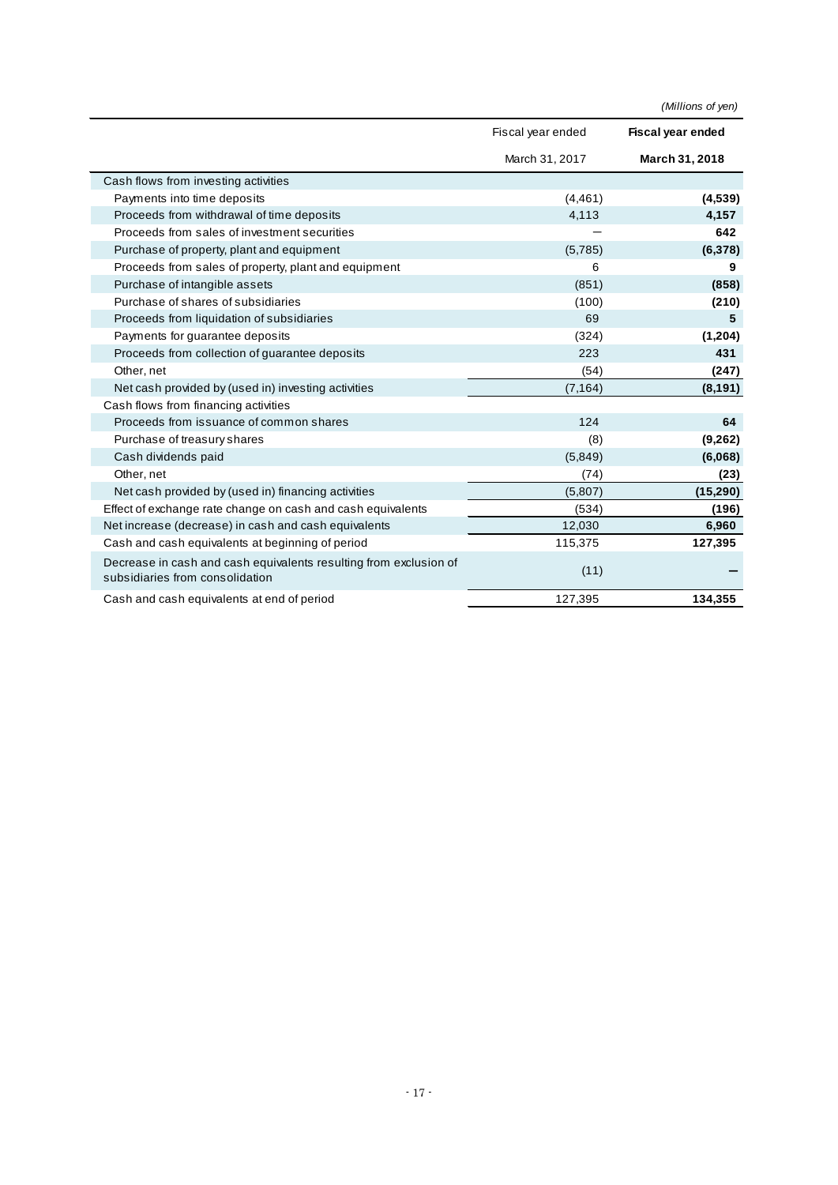|                                                                                                      |                   | (Millions of yen)        |
|------------------------------------------------------------------------------------------------------|-------------------|--------------------------|
|                                                                                                      | Fiscal year ended | <b>Fiscal year ended</b> |
|                                                                                                      | March 31, 2017    | March 31, 2018           |
| Cash flows from investing activities                                                                 |                   |                          |
| Payments into time deposits                                                                          | (4, 461)          | (4,539)                  |
| Proceeds from withdrawal of time deposits                                                            | 4,113             | 4,157                    |
| Proceeds from sales of investment securities                                                         |                   | 642                      |
| Purchase of property, plant and equipment                                                            | (5,785)           | (6, 378)                 |
| Proceeds from sales of property, plant and equipment                                                 | 6                 | 9                        |
| Purchase of intangible assets                                                                        | (851)             | (858)                    |
| Purchase of shares of subsidiaries                                                                   | (100)             | (210)                    |
| Proceeds from liquidation of subsidiaries                                                            | 69                | 5                        |
| Payments for guarantee deposits                                                                      | (324)             | (1,204)                  |
| Proceeds from collection of guarantee deposits                                                       | 223               | 431                      |
| Other, net                                                                                           | (54)              | (247)                    |
| Net cash provided by (used in) investing activities                                                  | (7, 164)          | (8, 191)                 |
| Cash flows from financing activities                                                                 |                   |                          |
| Proceeds from issuance of common shares                                                              | 124               | 64                       |
| Purchase of treasury shares                                                                          | (8)               | (9,262)                  |
| Cash dividends paid                                                                                  | (5,849)           | (6,068)                  |
| Other, net                                                                                           | (74)              | (23)                     |
| Net cash provided by (used in) financing activities                                                  | (5,807)           | (15, 290)                |
| Effect of exchange rate change on cash and cash equivalents                                          | (534)             | (196)                    |
| Net increase (decrease) in cash and cash equivalents                                                 | 12,030            | 6,960                    |
| Cash and cash equivalents at beginning of period                                                     | 115,375           | 127,395                  |
| Decrease in cash and cash equivalents resulting from exclusion of<br>subsidiaries from consolidation | (11)              |                          |
| Cash and cash equivalents at end of period                                                           | 127,395           | 134,355                  |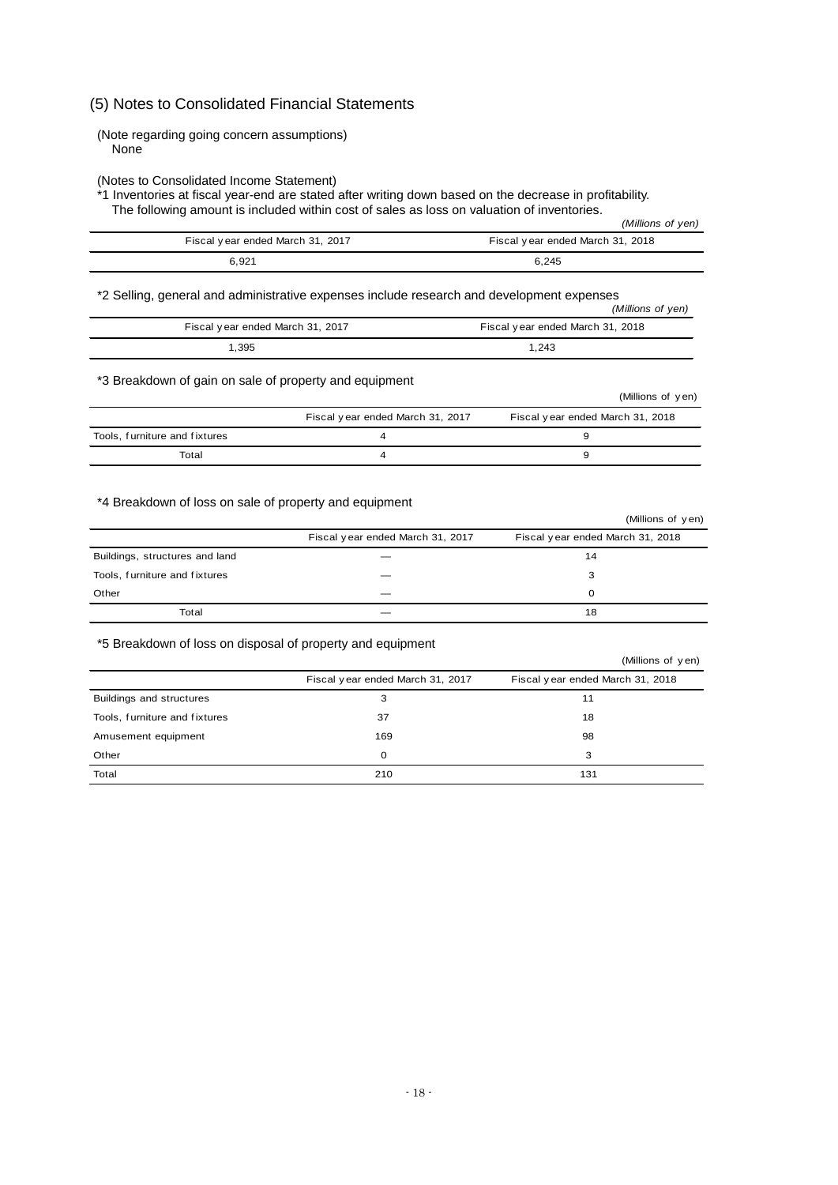### (5) Notes to Consolidated Financial Statements

(Note regarding going concern assumptions) None

(Notes to Consolidated Income Statement)

\*1 Inventories at fiscal year-end are stated after writing down based on the decrease in profitability. The following amount is included within cost of sales as loss on valuation of inventories. *(Millions of yen)*

|                                  | (Millions of yen)                |
|----------------------------------|----------------------------------|
| Fiscal year ended March 31, 2017 | Fiscal year ended March 31, 2018 |
| 6.921                            | 6.245                            |

\*2 Selling, general and administrative expenses include research and development expenses

| Z OCIIIN, GENERAL ANU AUTHORIAN DE CAPENSES INCIDIO TESCATUM ANU DEVEROPMENT CAPENSES | (Millions of yen)                |
|---------------------------------------------------------------------------------------|----------------------------------|
| Fiscal year ended March 31, 2017                                                      | Fiscal year ended March 31, 2018 |
| . 395                                                                                 | 1.243                            |

\*3 Breakdown of gain on sale of property and equipment

|                               |                                  | (Millions of yen)                |
|-------------------------------|----------------------------------|----------------------------------|
|                               | Fiscal year ended March 31, 2017 | Fiscal year ended March 31, 2018 |
| Tools, furniture and fixtures |                                  |                                  |
| Total                         |                                  |                                  |

#### \*4 Breakdown of loss on sale of property and equipment

|                                |                                  | (Millions of yen)                |
|--------------------------------|----------------------------------|----------------------------------|
|                                | Fiscal year ended March 31, 2017 | Fiscal year ended March 31, 2018 |
| Buildings, structures and land |                                  | 14                               |
| Tools, furniture and fixtures  |                                  | 3                                |
| Other                          |                                  | 0                                |
| Total                          |                                  | 18                               |

#### \*5 Breakdown of loss on disposal of property and equipment

|                               |                                  | (Millions of yen)                |
|-------------------------------|----------------------------------|----------------------------------|
|                               | Fiscal year ended March 31, 2017 | Fiscal year ended March 31, 2018 |
| Buildings and structures      | з                                | 11                               |
| Tools, furniture and fixtures | 37                               | 18                               |
| Amusement equipment           | 169                              | 98                               |
| Other                         | $\mathbf 0$                      | 3                                |
| Total                         | 210                              | 131                              |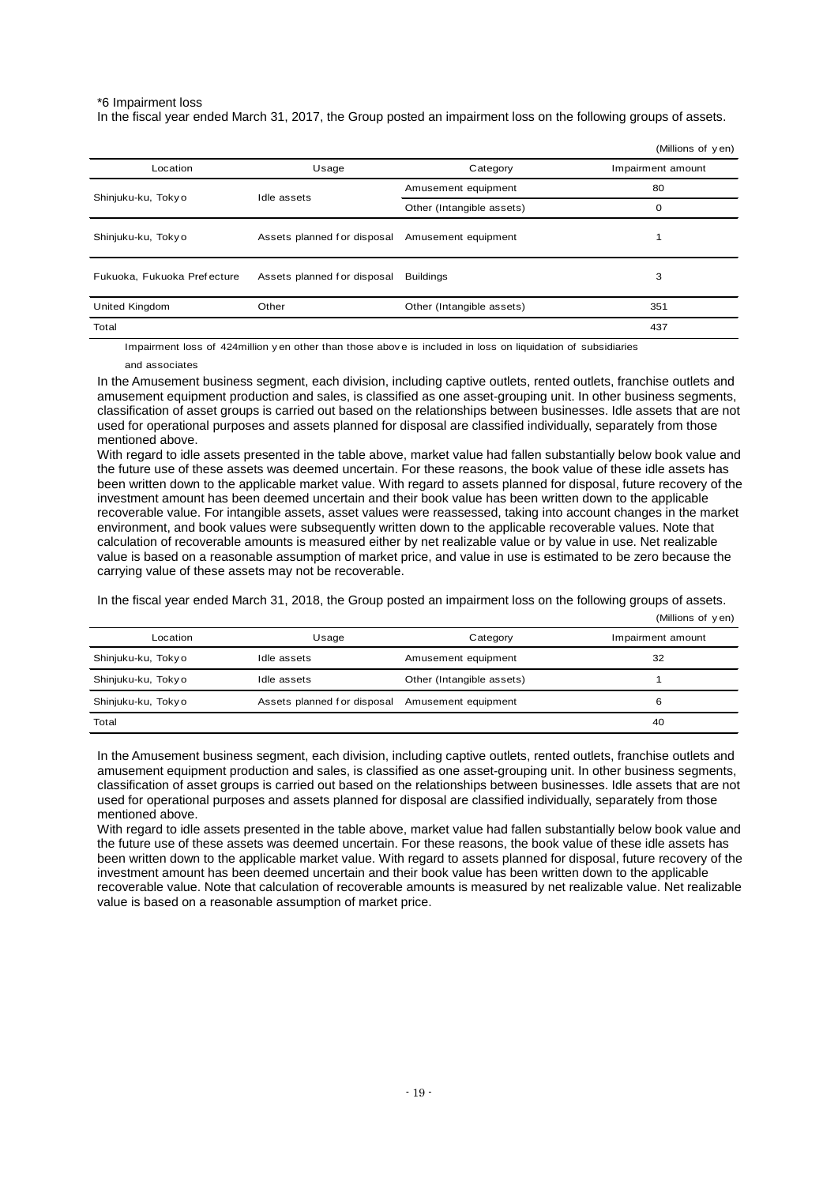#### \*6 Impairment loss

In the fiscal year ended March 31, 2017, the Group posted an impairment loss on the following groups of assets.

|                             |                                    |                           | (Millions of yen) |
|-----------------------------|------------------------------------|---------------------------|-------------------|
| Location                    | Usage                              | Category                  | Impairment amount |
|                             | Amusement equipment<br>Idle assets |                           | 80                |
| Shinjuku-ku, Tokyo          | Other (Intangible assets)          | 0                         |                   |
| Shinjuku-ku, Tokyo          | Assets planned for disposal        | Amusement equipment       |                   |
| Fukuoka, Fukuoka Prefecture | Assets planned for disposal        | <b>Buildings</b>          | 3                 |
| <b>United Kingdom</b>       | Other                              | Other (Intangible assets) | 351               |
| Total                       |                                    |                           | 437               |

Impairment loss of 424million y en other than those abov e is included in loss on liquidation of subsidiaries

#### and associates

In the Amusement business segment, each division, including captive outlets, rented outlets, franchise outlets and amusement equipment production and sales, is classified as one asset-grouping unit. In other business segments, classification of asset groups is carried out based on the relationships between businesses. Idle assets that are not used for operational purposes and assets planned for disposal are classified individually, separately from those mentioned above.

With regard to idle assets presented in the table above, market value had fallen substantially below book value and the future use of these assets was deemed uncertain. For these reasons, the book value of these idle assets has been written down to the applicable market value. With regard to assets planned for disposal, future recovery of the investment amount has been deemed uncertain and their book value has been written down to the applicable recoverable value. For intangible assets, asset values were reassessed, taking into account changes in the market environment, and book values were subsequently written down to the applicable recoverable values. Note that calculation of recoverable amounts is measured either by net realizable value or by value in use. Net realizable value is based on a reasonable assumption of market price, and value in use is estimated to be zero because the carrying value of these assets may not be recoverable.

In the fiscal year ended March 31, 2018, the Group posted an impairment loss on the following groups of assets.

|                    |                                                 |                           | (Millions of yen) |
|--------------------|-------------------------------------------------|---------------------------|-------------------|
| Location           | Usage                                           | Category                  | Impairment amount |
| Shinjuku-ku, Tokyo | Idle assets                                     | Amusement equipment       | 32                |
| Shinjuku-ku, Tokyo | Idle assets                                     | Other (Intangible assets) |                   |
| Shinjuku-ku, Tokyo | Assets planned for disposal Amusement equipment |                           | 6                 |
| Total              |                                                 |                           | 40                |

In the Amusement business segment, each division, including captive outlets, rented outlets, franchise outlets and amusement equipment production and sales, is classified as one asset-grouping unit. In other business segments, classification of asset groups is carried out based on the relationships between businesses. Idle assets that are not used for operational purposes and assets planned for disposal are classified individually, separately from those mentioned above.

With regard to idle assets presented in the table above, market value had fallen substantially below book value and the future use of these assets was deemed uncertain. For these reasons, the book value of these idle assets has been written down to the applicable market value. With regard to assets planned for disposal, future recovery of the investment amount has been deemed uncertain and their book value has been written down to the applicable recoverable value. Note that calculation of recoverable amounts is measured by net realizable value. Net realizable value is based on a reasonable assumption of market price.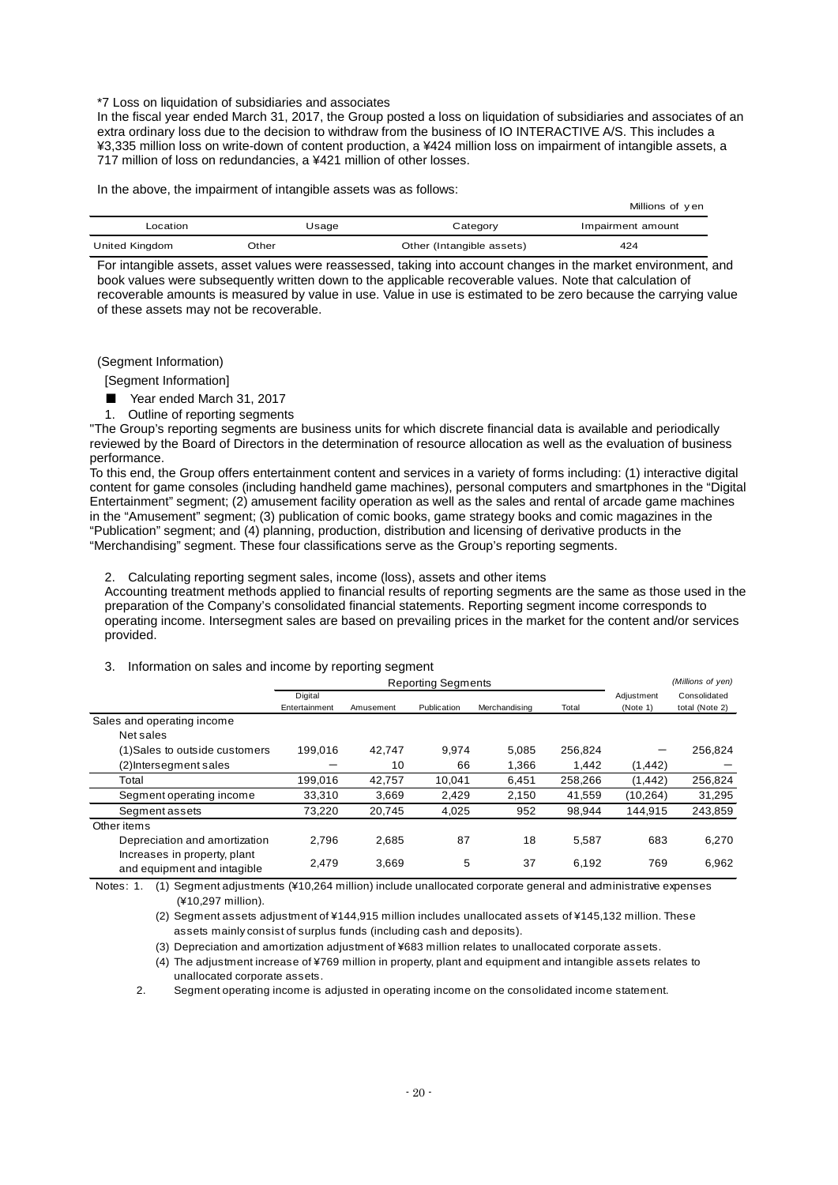\*7 Loss on liquidation of subsidiaries and associates

In the fiscal year ended March 31, 2017, the Group posted a loss on liquidation of subsidiaries and associates of an extra ordinary loss due to the decision to withdraw from the business of IO INTERACTIVE A/S. This includes a ¥3,335 million loss on write-down of content production, a ¥424 million loss on impairment of intangible assets, a 717 million of loss on redundancies, a ¥421 million of other losses.

In the above, the impairment of intangible assets was as follows:

|                |       |                           | Millions of yen   |
|----------------|-------|---------------------------|-------------------|
| Location       | Usaqe | Category                  | Impairment amount |
| United Kingdom | Other | Other (Intangible assets) | 424               |

For intangible assets, asset values were reassessed, taking into account changes in the market environment, and book values were subsequently written down to the applicable recoverable values. Note that calculation of recoverable amounts is measured by value in use. Value in use is estimated to be zero because the carrying value of these assets may not be recoverable.

(Segment Information)

[Segment Information]

- Year ended March 31, 2017
- 1. Outline of reporting segments

"The Group's reporting segments are business units for which discrete financial data is available and periodically reviewed by the Board of Directors in the determination of resource allocation as well as the evaluation of business performance.

To this end, the Group offers entertainment content and services in a variety of forms including: (1) interactive digital content for game consoles (including handheld game machines), personal computers and smartphones in the "Digital Entertainment" segment; (2) amusement facility operation as well as the sales and rental of arcade game machines in the "Amusement" segment; (3) publication of comic books, game strategy books and comic magazines in the "Publication" segment; and (4) planning, production, distribution and licensing of derivative products in the "Merchandising" segment. These four classifications serve as the Group's reporting segments.

2. Calculating reporting segment sales, income (loss), assets and other items

Accounting treatment methods applied to financial results of reporting segments are the same as those used in the preparation of the Company's consolidated financial statements. Reporting segment income corresponds to operating income. Intersegment sales are based on prevailing prices in the market for the content and/or services provided.

#### 3. Information on sales and income by reporting segment

|                                                             | <b>Reporting Segments</b> |           |             |               | (Millions of yen) |                        |                                |
|-------------------------------------------------------------|---------------------------|-----------|-------------|---------------|-------------------|------------------------|--------------------------------|
|                                                             | Digital<br>Entertainment  | Amusement | Publication | Merchandising | Total             | Adjustment<br>(Note 1) | Consolidated<br>total (Note 2) |
| Sales and operating income                                  |                           |           |             |               |                   |                        |                                |
| Net sales                                                   |                           |           |             |               |                   |                        |                                |
| (1)Sales to outside customers                               | 199,016                   | 42.747    | 9.974       | 5,085         | 256,824           |                        | 256,824                        |
| (2)Intersegment sales                                       |                           | 10        | 66          | 1.366         | 1.442             | (1, 442)               |                                |
| Total                                                       | 199.016                   | 42.757    | 10.041      | 6,451         | 258.266           | (1, 442)               | 256,824                        |
| Segment operating income                                    | 33,310                    | 3,669     | 2,429       | 2.150         | 41,559            | (10, 264)              | 31,295                         |
| Segment assets                                              | 73,220                    | 20,745    | 4,025       | 952           | 98,944            | 144,915                | 243,859                        |
| Other items                                                 |                           |           |             |               |                   |                        |                                |
| Depreciation and amortization                               | 2.796                     | 2,685     | 87          | 18            | 5,587             | 683                    | 6,270                          |
| Increases in property, plant<br>and equipment and intagible | 2,479                     | 3,669     | 5           | 37            | 6,192             | 769                    | 6,962                          |

Notes: 1. (1) Segment adjustments (¥10,264 million) include unallocated corporate general and administrative expenses (¥10,297 million).

(2) Segment assets adjustment of ¥144,915 million includes unallocated assets of ¥145,132 million. Theseassets mainly consist of surplus funds (including cash and deposits).

(3) Depreciation and amortization adjustment of ¥683 million relates to unallocated corporate assets.

(4) The adjustment increase of ¥769 million in property, plant and equipment and intangible assets relates to unallocated corporate assets.

2. Segment operating income is adjusted in operating income on the consolidated income statement.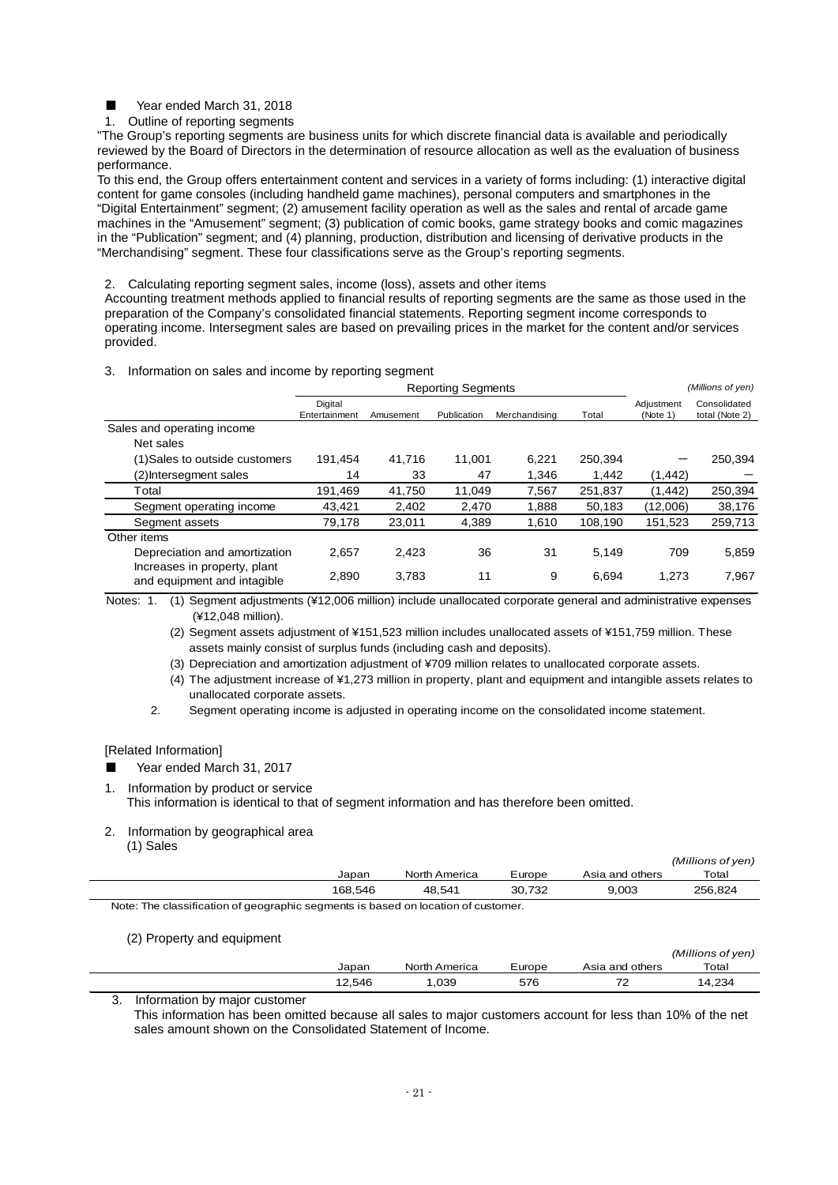Year ended March 31, 2018

1. Outline of reporting segments

"The Group's reporting segments are business units for which discrete financial data is available and periodically reviewed by the Board of Directors in the determination of resource allocation as well as the evaluation of business performance.

To this end, the Group offers entertainment content and services in a variety of forms including: (1) interactive digital content for game consoles (including handheld game machines), personal computers and smartphones in the "Digital Entertainment" segment; (2) amusement facility operation as well as the sales and rental of arcade game machines in the "Amusement" segment; (3) publication of comic books, game strategy books and comic magazines in the "Publication" segment; and (4) planning, production, distribution and licensing of derivative products in the "Merchandising" segment. These four classifications serve as the Group's reporting segments.

2. Calculating reporting segment sales, income (loss), assets and other items

Accounting treatment methods applied to financial results of reporting segments are the same as those used in the preparation of the Company's consolidated financial statements. Reporting segment income corresponds to operating income. Intersegment sales are based on prevailing prices in the market for the content and/or services provided.

#### 3. Information on sales and income by reporting segment

|                                                             | <b>Reporting Segments</b> |           |             |               |         |                        | (Millions of yen)              |
|-------------------------------------------------------------|---------------------------|-----------|-------------|---------------|---------|------------------------|--------------------------------|
|                                                             | Digital<br>Entertainment  | Amusement | Publication | Merchandising | Total   | Adjustment<br>(Note 1) | Consolidated<br>total (Note 2) |
| Sales and operating income                                  |                           |           |             |               |         |                        |                                |
| Net sales                                                   |                           |           |             |               |         |                        |                                |
| (1) Sales to outside customers                              | 191.454                   | 41,716    | 11.001      | 6,221         | 250,394 |                        | 250,394                        |
| (2) Intersegment sales                                      | 14                        | 33        | 47          | 1,346         | 1,442   | (1, 442)               |                                |
| Total                                                       | 191.469                   | 41.750    | 11.049      | 7.567         | 251,837 | (1, 442)               | 250,394                        |
| Segment operating income                                    | 43.421                    | 2,402     | 2,470       | 1,888         | 50,183  | (12,006)               | 38,176                         |
| Segment assets                                              | 79,178                    | 23,011    | 4,389       | 1,610         | 108,190 | 151,523                | 259,713                        |
| Other items                                                 |                           |           |             |               |         |                        |                                |
| Depreciation and amortization                               | 2.657                     | 2,423     | 36          | 31            | 5.149   | 709                    | 5,859                          |
| Increases in property, plant<br>and equipment and intagible | 2,890                     | 3,783     | 11          | 9             | 6,694   | 1,273                  | 7,967                          |

(1) Segment adjustments (¥12,006 million) include unallocated corporate general and administrative expenses Notes: 1. (¥12,048 million).

(2) Segment assets adjustment of ¥151,523 million includes unallocated assets of ¥151,759 million. These assets mainly consist of surplus funds (including cash and deposits).

(3) Depreciation and amortization adjustment of ¥709 million relates to unallocated corporate assets.

(4) The adjustment increase of ¥1,273 million in property, plant and equipment and intangible assets relates to unallocated corporate assets.

2. Segment operating income is adjusted in operating income on the consolidated income statement.

[Related Information]

- Year ended March 31, 2017
- 1. Information by product or service This information is identical to that of segment information and has therefore been omitted.
- 2. Information by geographical area (1) Sales

|         |  |               |        |                 | (Millions of yen) |  |  |
|---------|--|---------------|--------|-----------------|-------------------|--|--|
| Japan   |  | North America | Europe | Asia and others | Total             |  |  |
| 168.546 |  | 48.541        | 30.732 | 9,003           | 256.824           |  |  |
|         |  |               |        |                 |                   |  |  |

Note: The classification of geographic segments is based on location of customer.

(2) Property and equipment

|        |               |        |                          | (Millions of yen) |
|--------|---------------|--------|--------------------------|-------------------|
| Japan  | North America | Europe | Asia and others          | Total             |
| 12,546 | ,039          | 576    | $\overline{\phantom{a}}$ | 14,234            |

3. Information by major customer

This information has been omitted because all sales to major customers account for less than 10% of the net sales amount shown on the Consolidated Statement of Income.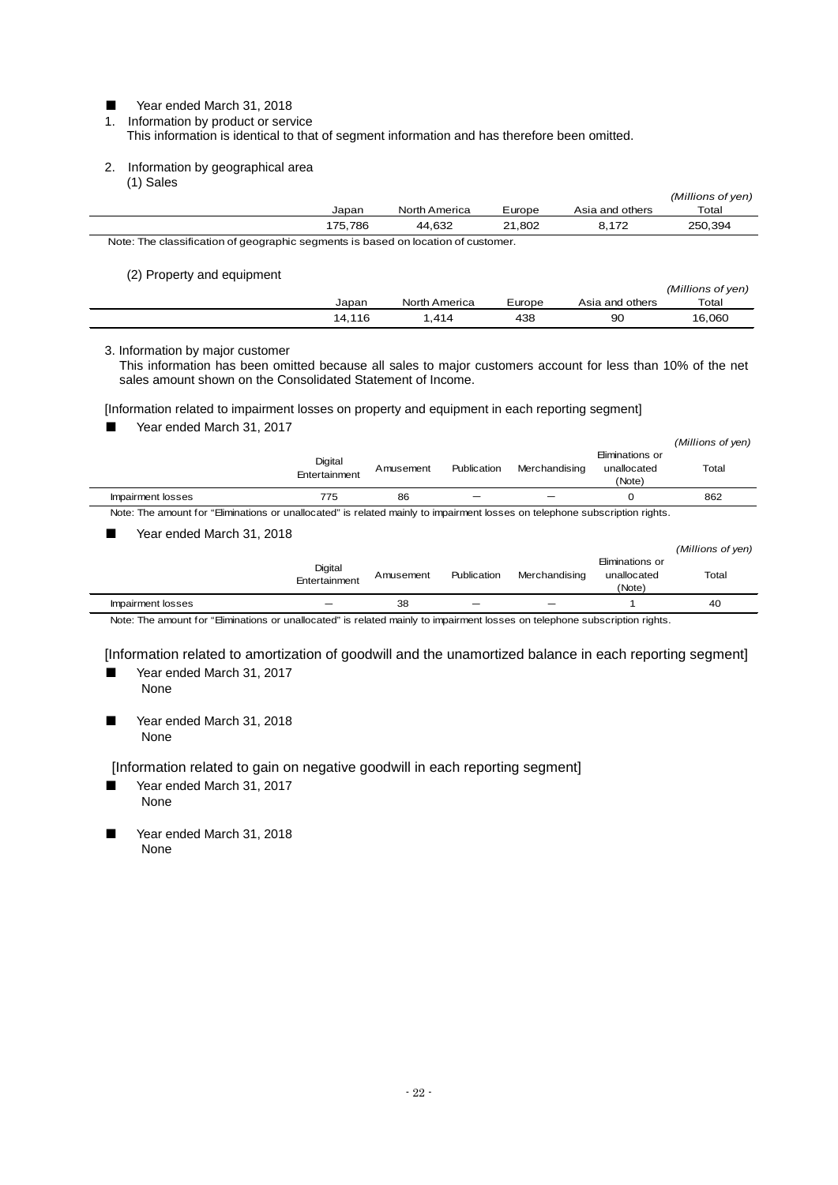Year ended March 31, 2018

1. Information by product or service This information is identical to that of segment information and has therefore been omitted.

2. Information by geographical area (1) Sales

|                                                                                   |               |        |                 | (Millions of yen) |
|-----------------------------------------------------------------------------------|---------------|--------|-----------------|-------------------|
| Japan                                                                             | North America | Europe | Asia and others | Total             |
| 175.786                                                                           | 44.632        | 21.802 | 8.172           | 250.394           |
| Note: The classification of geographic segments is based on location of customer. |               |        |                 |                   |

(2) Property and equipment

|        |               |        |                 | (Millions of yen) |
|--------|---------------|--------|-----------------|-------------------|
| Japan  | North America | Europe | Asia and others | Total             |
| 14.116 | .414          | 438    | 90              | 16,060            |

3. Information by major customer

This information has been omitted because all sales to major customers account for less than 10% of the net sales amount shown on the Consolidated Statement of Income.

[Information related to impairment losses on property and equipment in each reporting segment]

|  | Year ended March 31, 2017 |  |
|--|---------------------------|--|
|  |                           |  |

|                                                                                                                             |                          |           |             |               |                                                | (Millions of yen) |
|-----------------------------------------------------------------------------------------------------------------------------|--------------------------|-----------|-------------|---------------|------------------------------------------------|-------------------|
|                                                                                                                             | Digital<br>Entertainment | Amusement | Publication | Merchandising | Eliminations or<br>unallocated<br>(Note)       | Total             |
| Impairment losses                                                                                                           | 775                      | 86        |             |               | 0                                              | 862               |
| Note: The amount for "Eliminations or unallocated" is related mainly to impairment losses on telephone subscription rights. |                          |           |             |               |                                                |                   |
| Year ended March 31, 2018                                                                                                   |                          |           |             |               |                                                |                   |
|                                                                                                                             |                          |           |             |               |                                                | (Millions of yen) |
|                                                                                                                             | Digital<br>Entertainment | Amusement | Publication | Merchandising | Eliminations or<br>unallocated<br>$\mathbf{A}$ | Total             |

|                                 | ETTER RITTLETTE |                |                          | (Note) |     |
|---------------------------------|-----------------|----------------|--------------------------|--------|-----|
| pairment losses                 |                 | $\Omega$<br>зŏ | $\overline{\phantom{a}}$ |        | -40 |
| the contract of the contract of |                 |                |                          |        |     |

Note: The amount for "Eliminations or unallocated" is related mainly to impairment losses on telephone subscription rights.

[Information related to amortization of goodwill and the unamortized balance in each reporting segment]

- Year ended March 31, 2017 None
- Year ended March 31, 2018 None

[Information related to gain on negative goodwill in each reporting segment]

- Year ended March 31, 2017 None
- Year ended March 31, 2018 None